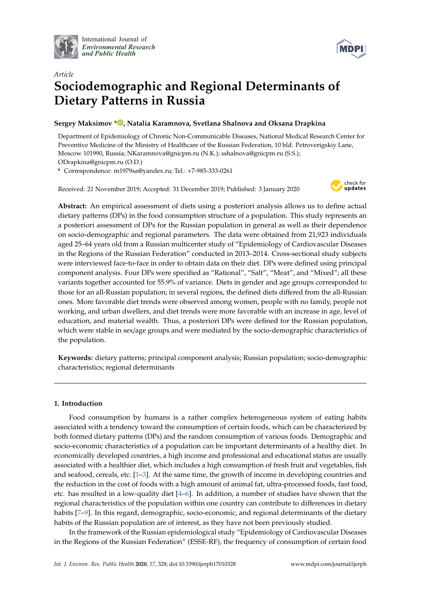

International Journal of *[Environmental Research](http://www.mdpi.com/journal/ijerph) and Public Health*



# *Article* **Sociodemographic and Regional Determinants of Dietary Patterns in Russia**

# **Sergey Maksimov \* [,](https://orcid.org/0000-0003-0545-2586) Natalia Karamnova, Svetlana Shalnova and Oksana Drapkina**

Department of Epidemiology of Chronic Non-Communicable Diseases, National Medical Research Center for Preventive Medicine of the Ministry of Healthcare of the Russian Federation, 10 bld. Petroverigskiy Lane, Moscow 101990, Russia; NKaramnova@gnicpm.ru (N.K.); sshalnova@gnicpm.ru (S.S.); ODrapkina@gnicpm.ru (O.D.)

**\*** Correspondence: m1979sa@yandex.ru; Tel.: +7-985-333-0261

Received: 21 November 2019; Accepted: 31 December 2019; Published: 3 January 2020



**Abstract:** An empirical assessment of diets using a posteriori analysis allows us to define actual dietary patterns (DPs) in the food consumption structure of a population. This study represents an a posteriori assessment of DPs for the Russian population in general as well as their dependence on socio-demographic and regional parameters. The data were obtained from 21,923 individuals aged 25–64 years old from a Russian multicenter study of "Epidemiology of Cardiovascular Diseases in the Regions of the Russian Federation" conducted in 2013–2014. Cross-sectional study subjects were interviewed face-to-face in order to obtain data on their diet. DPs were defined using principal component analysis. Four DPs were specified as "Rational", "Salt", "Meat", and "Mixed"; all these variants together accounted for 55.9% of variance. Diets in gender and age groups corresponded to those for an all-Russian population; in several regions, the defined diets differed from the all-Russian ones. More favorable diet trends were observed among women, people with no family, people not working, and urban dwellers, and diet trends were more favorable with an increase in age, level of education, and material wealth. Thus, a posteriori DPs were defined for the Russian population, which were stable in sex/age groups and were mediated by the socio-demographic characteristics of the population.

**Keywords:** dietary patterns; principal component analysis; Russian population; socio-demographic characteristics; regional determinants

# **1. Introduction**

Food consumption by humans is a rather complex heterogeneous system of eating habits associated with a tendency toward the consumption of certain foods, which can be characterized by both formed dietary patterns (DPs) and the random consumption of various foods. Demographic and socio-economic characteristics of a population can be important determinants of a healthy diet. In economically developed countries, a high income and professional and educational status are usually associated with a healthier diet, which includes a high consumption of fresh fruit and vegetables, fish and seafood, cereals, etc. [\[1–](#page-19-0)[3\]](#page-19-1). At the same time, the growth of income in developing countries and the reduction in the cost of foods with a high amount of animal fat, ultra-processed foods, fast food, etc. has resulted in a low-quality diet [\[4](#page-19-2)[–6\]](#page-19-3). In addition, a number of studies have shown that the regional characteristics of the population within one country can contribute to differences in dietary habits [\[7–](#page-19-4)[9\]](#page-19-5). In this regard, demographic, socio-economic, and regional determinants of the dietary habits of the Russian population are of interest, as they have not been previously studied.

In the framework of the Russian epidemiological study "Epidemiology of Cardiovascular Diseases in the Regions of the Russian Federation" (ESSE-RF), the frequency of consumption of certain food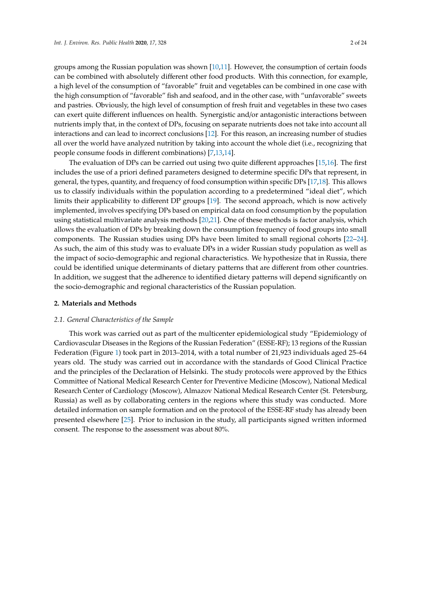groups among the Russian population was shown [\[10,](#page-19-6)[11\]](#page-19-7). However, the consumption of certain foods can be combined with absolutely different other food products. With this connection, for example, a high level of the consumption of "favorable" fruit and vegetables can be combined in one case with the high consumption of "favorable" fish and seafood, and in the other case, with "unfavorable" sweets and pastries. Obviously, the high level of consumption of fresh fruit and vegetables in these two cases can exert quite different influences on health. Synergistic and/or antagonistic interactions between nutrients imply that, in the context of DPs, focusing on separate nutrients does not take into account all interactions and can lead to incorrect conclusions [\[12\]](#page-19-8). For this reason, an increasing number of studies all over the world have analyzed nutrition by taking into account the whole diet (i.e., recognizing that people consume foods in different combinations) [\[7,](#page-19-4)[13,](#page-20-0)[14\]](#page-20-1).

The evaluation of DPs can be carried out using two quite different approaches [\[15](#page-20-2)[,16\]](#page-20-3). The first includes the use of a priori defined parameters designed to determine specific DPs that represent, in general, the types, quantity, and frequency of food consumption within specific DPs [\[17,](#page-20-4)[18\]](#page-20-5). This allows us to classify individuals within the population according to a predetermined "ideal diet", which limits their applicability to different DP groups [\[19\]](#page-20-6). The second approach, which is now actively implemented, involves specifying DPs based on empirical data on food consumption by the population using statistical multivariate analysis methods [\[20](#page-20-7)[,21\]](#page-20-8). One of these methods is factor analysis, which allows the evaluation of DPs by breaking down the consumption frequency of food groups into small components. The Russian studies using DPs have been limited to small regional cohorts [\[22–](#page-20-9)[24\]](#page-20-10). As such, the aim of this study was to evaluate DPs in a wider Russian study population as well as the impact of socio-demographic and regional characteristics. We hypothesize that in Russia, there could be identified unique determinants of dietary patterns that are different from other countries. In addition, we suggest that the adherence to identified dietary patterns will depend significantly on the socio-demographic and regional characteristics of the Russian population.

#### **2. Materials and Methods**

#### *2.1. General Characteristics of the Sample*

This work was carried out as part of the multicenter epidemiological study "Epidemiology of Cardiovascular Diseases in the Regions of the Russian Federation" (ESSE-RF); 13 regions of the Russian Federation (Figure [1\)](#page-2-0) took part in 2013–2014, with a total number of 21,923 individuals aged 25–64 years old. The study was carried out in accordance with the standards of Good Clinical Practice and the principles of the Declaration of Helsinki. The study protocols were approved by the Ethics Committee of National Medical Research Center for Preventive Medicine (Moscow), National Medical Research Center of Cardiology (Moscow), Almazov National Medical Research Center (St. Petersburg, Russia) as well as by collaborating centers in the regions where this study was conducted. More detailed information on sample formation and on the protocol of the ESSE-RF study has already been presented elsewhere [\[25\]](#page-20-11). Prior to inclusion in the study, all participants signed written informed consent. The response to the assessment was about 80%.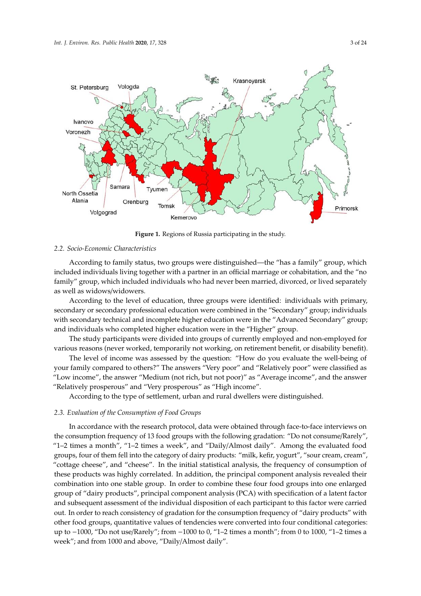<span id="page-2-0"></span>

**Figure 1.** Regions of Russia participating in the study. **Figure 1.** Regions of Russia participating in the study.

# *2.2. Socio-Economic Characteristics 2.2. Socio-Economic Characteristics*

According to family status, two groups were distinguished—the "has a family" group, which According to family status, two groups were distinguished—the "has a family" group, which included individuals living together with a partner in an official marriage or cohabitation, and the included individuals living together with a partner in an official marriage or cohabitation, and the "no family" group, which included individuals who had never been married, divorced, or lived separately as well as widows/widowers.

According to the level of education, three groups were identified: individuals with primary, According to the level of education, three groups were identified: individuals with primary, secondary or secondary professional education were combined in the "Secondary" group; individuals with secondary technical and incomplete higher education were in the "Advanced Secondary" group; and individuals who completed higher education were in the "Higher" group.

The study participants were divided into groups of currently employed and non-employed for The study participants were divided into groups of currently employed and non-employed for various reasons (never worked, temporarily not working, on retirement benefit, or disability benefit).

The level of income was assessed by the question: "How do you evaluate the well-being of your family compared to others?" The answers "Very poor" and "Relatively poor" were classified as "Low income", the answer "Medium (not rich, but not poor)" as "Average income", and the answer "Relatively prosperous" and "Very prosperous" as "High income". "Relatively prosperous" and "Very prosperous" as "High income".

According to the type of settlement, urban and rural dwellers were distinguished. According to the type of settlement, urban and rural dwellers were distinguished.

# *2.3. Evaluation of the Consumption of Food Groups 2.3. Evaluation of the Consumption of Food Groups*

In accordance with the research protocol, data were obtained through face-to-face interviews on Interviews on  $\frac{1}{2}$ the consumption frequency of 13 food groups with the following gradation: "Do not "1–2 times a month", "1–2 times a week", and "Daily/Almost daily". Among the evaluated food r 2 times a month  $\ell$ .  $\ell$  times a week", and "Daily/Almost daily". Almost die evaluated food evaluated food groups, four of them fell into the category of dairy products: "milk, kefir, yogurt", "cottage cheese", and "cheese". In the initial statistical analysis, the frequency of consumption of of consumption of these products was highly correlated. In addition, the principal component combination into one stable group. In order to combine these four food groups into one enlarged combination into one stable group. In order to combine these four food groups into one changed group of "dairy products", principal component analysis (PCA) with specification of a latent factor and subsequent assessment of the individual disposition of each participant to this factor were carried<br> out. In order to reach consistency of gradation for the consumption frequency of "dairy products" with other food groups, quantitative values of tendencies were convented into four conditional categories up to −1000, "Do not use/Rarely"; from −1000 to 0, "1–2 times a month"; from 0 to 1000, "1–2 times a week"; and from 1000 and above, "Daily/Almost daily". the consumption frequency of 13 food groups with the following gradation: "Do not consume/Rarely", groups, four of them fell into the category of dairy products: "milk, kefir, yogurt", "sour cream, cream", these products was highly correlated. In addition, the principal component analysis revealed their other food groups, quantitative values of tendencies were converted into four conditional categories: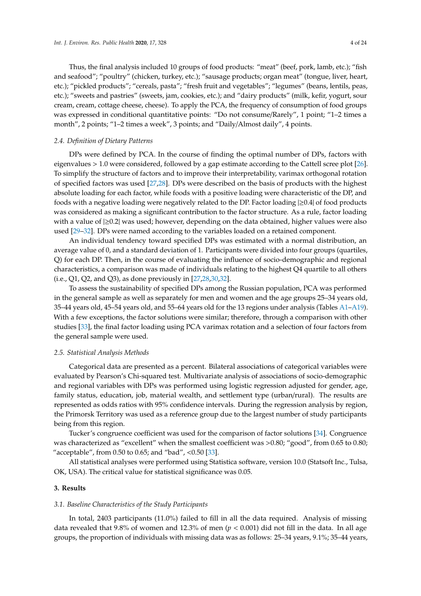Thus, the final analysis included 10 groups of food products: "meat" (beef, pork, lamb, etc.); "fish and seafood"; "poultry" (chicken, turkey, etc.); "sausage products; organ meat" (tongue, liver, heart, etc.); "pickled products"; "cereals, pasta"; "fresh fruit and vegetables"; "legumes" (beans, lentils, peas, etc.); "sweets and pastries" (sweets, jam, cookies, etc.); and "dairy products" (milk, kefir, yogurt, sour cream, cream, cottage cheese, cheese). To apply the PCA, the frequency of consumption of food groups was expressed in conditional quantitative points: "Do not consume/Rarely", 1 point; "1–2 times a month", 2 points; "1–2 times a week", 3 points; and "Daily/Almost daily", 4 points.

# *2.4. Definition of Dietary Patterns*

DPs were defined by PCA. In the course of finding the optimal number of DPs, factors with eigenvalues > 1.0 were considered, followed by a gap estimate according to the Cattell scree plot [\[26\]](#page-20-12). To simplify the structure of factors and to improve their interpretability, varimax orthogonal rotation of specified factors was used [\[27,](#page-20-13)[28\]](#page-20-14). DPs were described on the basis of products with the highest absolute loading for each factor, while foods with a positive loading were characteristic of the DP, and foods with a negative loading were negatively related to the DP. Factor loading |≥0.4| of food products was considered as making a significant contribution to the factor structure. As a rule, factor loading with a value of  $|\geq 0.2|$  was used; however, depending on the data obtained, higher values were also used [\[29](#page-20-15)[–32\]](#page-20-16). DPs were named according to the variables loaded on a retained component.

An individual tendency toward specified DPs was estimated with a normal distribution, an average value of 0, and a standard deviation of 1. Participants were divided into four groups (quartiles, Q) for each DP. Then, in the course of evaluating the influence of socio-demographic and regional characteristics, a comparison was made of individuals relating to the highest Q4 quartile to all others  $(i.e., Q1, Q2, and Q3)$ , as done previously in  $[27,28,30,32]$  $[27,28,30,32]$  $[27,28,30,32]$  $[27,28,30,32]$ .

To assess the sustainability of specified DPs among the Russian population, PCA was performed in the general sample as well as separately for men and women and the age groups 25–34 years old, 35–44 years old, 45–54 years old, and 55–64 years old for the 13 regions under analysis (Tables [A1–](#page-13-0)[A19\)](#page-19-9). With a few exceptions, the factor solutions were similar; therefore, through a comparison with other studies [\[33\]](#page-21-0), the final factor loading using PCA varimax rotation and a selection of four factors from the general sample were used.

### *2.5. Statistical Analysis Methods*

Categorical data are presented as a percent. Bilateral associations of categorical variables were evaluated by Pearson's Chi-squared test. Multivariate analysis of associations of socio-demographic and regional variables with DPs was performed using logistic regression adjusted for gender, age, family status, education, job, material wealth, and settlement type (urban/rural). The results are represented as odds ratios with 95% confidence intervals. During the regression analysis by region, the Primorsk Territory was used as a reference group due to the largest number of study participants being from this region.

Tucker's congruence coefficient was used for the comparison of factor solutions [\[34\]](#page-21-1). Congruence was characterized as "excellent" when the smallest coefficient was >0.80; "good", from 0.65 to 0.80; "acceptable", from  $0.50$  to  $0.65$ ; and "bad", < $0.50$  [\[33\]](#page-21-0).

All statistical analyses were performed using Statistica software, version 10.0 (Statsoft Inc., Tulsa, OK, USA). The critical value for statistical significance was 0.05.

### **3. Results**

# *3.1. Baseline Characteristics of the Study Participants*

In total, 2403 participants (11.0%) failed to fill in all the data required. Analysis of missing data revealed that 9.8% of women and 12.3% of men  $(p < 0.001)$  did not fill in the data. In all age groups, the proportion of individuals with missing data was as follows: 25–34 years, 9.1%; 35–44 years,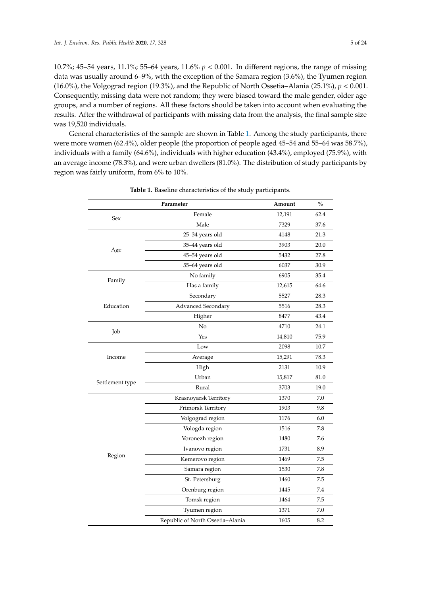10.7%; 45–54 years, 11.1%; 55–64 years, 11.6% *p* < 0.001. In different regions, the range of missing data was usually around 6–9%, with the exception of the Samara region (3.6%), the Tyumen region (16.0%), the Volgograd region (19.3%), and the Republic of North Ossetia–Alania (25.1%),  $p < 0.001$ . Consequently, missing data were not random; they were biased toward the male gender, older age groups, and a number of regions. All these factors should be taken into account when evaluating the results. After the withdrawal of participants with missing data from the analysis, the final sample size was 19,520 individuals.

General characteristics of the sample are shown in Table [1.](#page-4-0) Among the study participants, there were more women (62.4%), older people (the proportion of people aged 45–54 and 55–64 was 58.7%), individuals with a family (64.6%), individuals with higher education (43.4%), employed (75.9%), with an average income (78.3%), and were urban dwellers (81.0%). The distribution of study participants by region was fairly uniform, from 6% to 10%.

<span id="page-4-0"></span>

| Parameter       |                                  | Amount | $\frac{0}{0}$ |
|-----------------|----------------------------------|--------|---------------|
| Sex             | Female                           | 12,191 | 62.4          |
|                 | Male                             | 7329   | 37.6          |
|                 | 25-34 years old                  | 4148   | 21.3          |
|                 | 35-44 years old                  | 3903   | 20.0          |
| Age             | 45-54 years old                  | 5432   | 27.8          |
|                 | 55-64 years old                  | 6037   | 30.9          |
| Family          | No family                        | 6905   | 35.4          |
|                 | Has a family                     | 12,615 | 64.6          |
|                 | Secondary                        | 5527   | 28.3          |
| Education       | Advanced Secondary               | 5516   | 28.3          |
|                 | Higher                           | 8477   | 43.4          |
|                 | No                               | 4710   | 24.1          |
| Job             | Yes                              | 14,810 | 75.9          |
|                 | Low                              | 2098   | 10.7          |
| Income          | Average                          | 15,291 | 78.3          |
|                 | High                             | 2131   | 10.9          |
|                 | Urban                            | 15,817 | 81.0          |
| Settlement type | Rural                            | 3703   | 19.0          |
|                 | Krasnoyarsk Territory            | 1370   | 7.0           |
|                 | Primorsk Territory               | 1903   | 9.8           |
|                 | Volgograd region                 | 1176   | 6.0           |
|                 | Vologda region                   | 1516   | 7.8           |
|                 | Voronezh region                  | 1480   | 7.6           |
|                 | Ivanovo region                   | 1731   | 8.9           |
| Region          | Kemerovo region                  | 1469   | 7.5           |
|                 | Samara region                    | 1530   | 7.8           |
|                 | St. Petersburg                   | 1460   | 7.5           |
|                 | Orenburg region                  | 1445   | 7.4           |
|                 | Tomsk region                     | 1464   | 7.5           |
|                 | Tyumen region                    | 1371   | 7.0           |
|                 | Republic of North Ossetia-Alania | 1605   | 8.2           |

**Table 1.** Baseline characteristics of the study participants.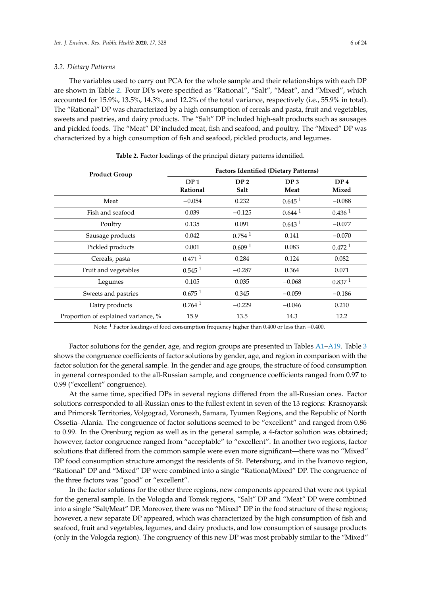#### *3.2. Dietary Patterns*

The variables used to carry out PCA for the whole sample and their relationships with each DP are shown in Table [2.](#page-5-0) Four DPs were specified as "Rational", "Salt", "Meat", and "Mixed", which accounted for 15.9%, 13.5%, 14.3%, and 12.2% of the total variance, respectively (i.e., 55.9% in total). The "Rational" DP was characterized by a high consumption of cereals and pasta, fruit and vegetables, sweets and pastries, and dairy products. The "Salt" DP included high-salt products such as sausages and pickled foods. The "Meat" DP included meat, fish and seafood, and poultry. The "Mixed" DP was characterized by a high consumption of fish and seafood, pickled products, and legumes.

<span id="page-5-0"></span>

| <b>Product Group</b>                | <b>Factors Identified (Dietary Patterns)</b> |                         |                         |                          |  |
|-------------------------------------|----------------------------------------------|-------------------------|-------------------------|--------------------------|--|
|                                     | DP <sub>1</sub><br>Rational                  | DP <sub>2</sub><br>Salt | DP <sub>3</sub><br>Meat | DP <sub>4</sub><br>Mixed |  |
| Meat                                | $-0.054$                                     | 0.232                   | 0.645 <sup>1</sup>      | $-0.088$                 |  |
| Fish and seafood                    | 0.039                                        | $-0.125$                | $0.644$ <sup>1</sup>    | 0.436 <sup>1</sup>       |  |
| Poultry                             | 0.135                                        | 0.091                   | 0.643 <sup>1</sup>      | $-0.077$                 |  |
| Sausage products                    | 0.042                                        | $0.754$ <sup>1</sup>    | 0.141                   | $-0.070$                 |  |
| Pickled products                    | 0.001                                        | 0.609 <sup>1</sup>      | 0.083                   | $0.472$ <sup>1</sup>     |  |
| Cereals, pasta                      | $0.471$ <sup>1</sup>                         | 0.284                   | 0.124                   | 0.082                    |  |
| Fruit and vegetables                | $0.545$ <sup>1</sup>                         | $-0.287$                | 0.364                   | 0.071                    |  |
| Legumes                             | 0.105                                        | 0.035                   | $-0.068$                | 0.837 <sup>1</sup>       |  |
| Sweets and pastries                 | 0.675 <sup>1</sup>                           | 0.345                   | $-0.059$                | $-0.186$                 |  |
| Dairy products                      | $0.764$ <sup>1</sup>                         | $-0.229$                | $-0.046$                | 0.210                    |  |
| Proportion of explained variance, % | 15.9                                         | 13.5                    | 14.3                    | 12.2                     |  |

**Table 2.** Factor loadings of the principal dietary patterns identified.

Note: <sup>1</sup> Factor loadings of food consumption frequency higher than 0.400 or less than −0.400.

Factor solutions for the gender, age, and region groups are presented in Tables [A1–](#page-13-0)[A19.](#page-19-9) Table [3](#page-6-0) shows the congruence coefficients of factor solutions by gender, age, and region in comparison with the factor solution for the general sample. In the gender and age groups, the structure of food consumption in general corresponded to the all-Russian sample, and congruence coefficients ranged from 0.97 to 0.99 ("excellent" congruence).

At the same time, specified DPs in several regions differed from the all-Russian ones. Factor solutions corresponded to all-Russian ones to the fullest extent in seven of the 13 regions: Krasnoyarsk and Primorsk Territories, Volgograd, Voronezh, Samara, Tyumen Regions, and the Republic of North Ossetia–Alania. The congruence of factor solutions seemed to be "excellent" and ranged from 0.86 to 0.99. In the Orenburg region as well as in the general sample, a 4-factor solution was obtained; however, factor congruence ranged from "acceptable" to "excellent". In another two regions, factor solutions that differed from the common sample were even more significant—there was no "Mixed" DP food consumption structure amongst the residents of St. Petersburg, and in the Ivanovo region, "Rational" DP and "Mixed" DP were combined into a single "Rational/Mixed" DP. The congruence of the three factors was "good" or "excellent".

In the factor solutions for the other three regions, new components appeared that were not typical for the general sample. In the Vologda and Tomsk regions, "Salt" DP and "Meat" DP were combined into a single "Salt/Meat" DP. Moreover, there was no "Mixed" DP in the food structure of these regions; however, a new separate DP appeared, which was characterized by the high consumption of fish and seafood, fruit and vegetables, legumes, and dairy products, and low consumption of sausage products (only in the Vologda region). The congruency of this new DP was most probably similar to the "Mixed"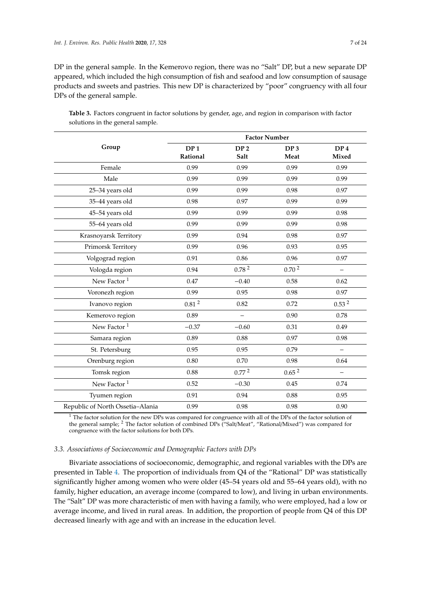DP in the general sample. In the Kemerovo region, there was no "Salt" DP, but a new separate DP appeared, which included the high consumption of fish and seafood and low consumption of sausage products and sweets and pastries. This new DP is characterized by "poor" congruency with all four DPs of the general sample.

|                                  | <b>Factor Number</b> |                   |                   |                          |  |
|----------------------------------|----------------------|-------------------|-------------------|--------------------------|--|
| Group                            | DP <sub>1</sub>      | DP <sub>2</sub>   | DP <sub>3</sub>   | DP <sub>4</sub>          |  |
|                                  | Rational             | Salt              | Meat              | Mixed                    |  |
| Female                           | 0.99                 | 0.99              | 0.99              | 0.99                     |  |
| Male                             | 0.99                 | 0.99              | 0.99              | 0.99                     |  |
| 25-34 years old                  | 0.99                 | 0.99              | 0.98              | 0.97                     |  |
| 35-44 years old                  | 0.98                 | 0.97              | 0.99              | 0.99                     |  |
| 45-54 years old                  | 0.99                 | 0.99              | 0.99              | 0.98                     |  |
| 55-64 years old                  | 0.99                 | 0.99              | 0.99              | 0.98                     |  |
| Krasnoyarsk Territory            | 0.99                 | 0.94              | 0.98              | 0.97                     |  |
| Primorsk Territory               | 0.99                 | 0.96              | 0.93              | 0.95                     |  |
| Volgograd region                 | 0.91                 | 0.86              | 0.96              | 0.97                     |  |
| Vologda region                   | 0.94                 | 0.78 <sup>2</sup> | 0.70 <sup>2</sup> | $\overline{\phantom{0}}$ |  |
| New Factor <sup>1</sup>          | 0.47                 | $-0.40$           | 0.58              | 0.62                     |  |
| Voronezh region                  | 0.99                 | 0.95              | 0.98              | 0.97                     |  |
| Ivanovo region                   | $0.81\,^2$           | 0.82              | 0.72              | 0.53 <sup>2</sup>        |  |
| Kemerovo region                  | 0.89                 |                   | 0.90              | 0.78                     |  |
| New Factor <sup>1</sup>          | $-0.37$              | $-0.60$           | 0.31              | 0.49                     |  |
| Samara region                    | 0.89                 | 0.88              | 0.97              | 0.98                     |  |
| St. Petersburg                   | 0.95                 | 0.95              | 0.79              | $\overline{\phantom{m}}$ |  |
| Orenburg region                  | 0.80                 | 0.70              | 0.98              | 0.64                     |  |
| Tomsk region                     | 0.88                 | 0.77 <sup>2</sup> | 0.65 <sup>2</sup> |                          |  |
| New Factor <sup>1</sup>          | 0.52                 | $-0.30$           | 0.45              | 0.74                     |  |
| Tyumen region                    | 0.91                 | 0.94              | 0.88              | 0.95                     |  |
| Republic of North Ossetia-Alania | 0.99                 | 0.98              | 0.98              | 0.90                     |  |

<span id="page-6-0"></span>**Table 3.** Factors congruent in factor solutions by gender, age, and region in comparison with factor solutions in the general sample.

 $1$  The factor solution for the new DPs was compared for congruence with all of the DPs of the factor solution of the general sample; <sup>2</sup> The factor solution of combined DPs ("Salt/Meat", "Rational/Mixed") was compared for congruence with the factor solutions for both DPs.

#### *3.3. Associations of Socioeconomic and Demographic Factors with DPs*

Bivariate associations of socioeconomic, demographic, and regional variables with the DPs are presented in Table [4.](#page-7-0) The proportion of individuals from Q4 of the "Rational" DP was statistically significantly higher among women who were older (45–54 years old and 55–64 years old), with no family, higher education, an average income (compared to low), and living in urban environments. The "Salt" DP was more characteristic of men with having a family, who were employed, had a low or average income, and lived in rural areas. In addition, the proportion of people from Q4 of this DP decreased linearly with age and with an increase in the education level.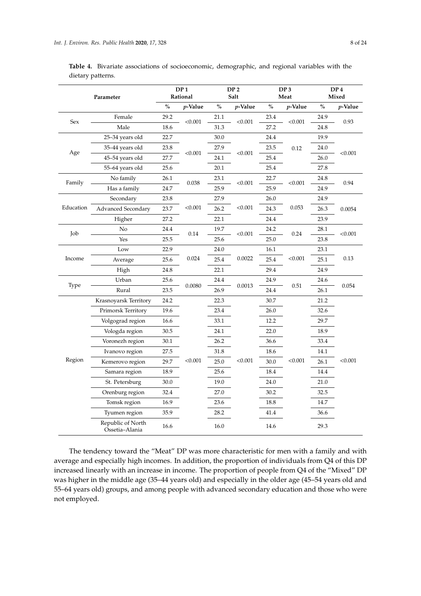<span id="page-7-0"></span>

| Table 4. Bivariate associations of socioeconomic, demographic, and regional variables with the |  |  |
|------------------------------------------------------------------------------------------------|--|--|

| dietary patterns. |
|-------------------|
|                   |

|           | Parameter                           |      | DP <sub>1</sub><br>Rational |      | DP <sub>2</sub><br>Salt |      | DP <sub>3</sub><br>Meat |      | DP <sub>4</sub><br>Mixed |
|-----------|-------------------------------------|------|-----------------------------|------|-------------------------|------|-------------------------|------|--------------------------|
|           |                                     | $\%$ | $p$ -Value                  | $\%$ | $p$ -Value              | $\%$ | $p$ -Value              | $\%$ | $p$ -Value               |
|           | Female                              | 29.2 |                             | 21.1 |                         | 23.4 |                         | 24.9 |                          |
| Sex       | Male                                | 18.6 | < 0.001                     | 31.3 | < 0.001                 | 27.2 | < 0.001                 | 24.8 | 0.93                     |
|           | 25-34 years old                     | 22.7 |                             | 30.0 |                         | 24.4 |                         | 19.9 |                          |
|           | 35–44 years old                     | 23.8 |                             | 27.9 |                         | 23.5 | 0.12                    | 24.0 |                          |
| Age       | 45–54 years old                     | 27.7 | < 0.001                     | 24.1 | < 0.001                 | 25.4 |                         | 26.0 | < 0.001                  |
|           | 55–64 years old                     | 25.6 |                             | 20.1 |                         | 25.4 |                         | 27.8 |                          |
| Family    | No family                           | 26.1 | $0.038\,$                   | 23.1 | < 0.001                 | 22.7 | < 0.001                 | 24.8 | 0.94                     |
|           | Has a family                        | 24.7 |                             | 25.9 |                         | 25.9 |                         | 24.9 |                          |
|           | Secondary                           | 23.8 |                             | 27.9 |                         | 26.0 |                         | 24.9 |                          |
| Education | <b>Advanced Secondary</b>           | 23.7 | < 0.001                     | 26.2 | < 0.001                 | 24.3 | 0.053                   | 26.3 | 0.0054                   |
|           | Higher                              | 27.2 |                             | 22.1 |                         | 24.4 |                         | 23.9 |                          |
| Job       | No                                  | 24.4 |                             | 19.7 | < 0.001                 | 24.2 | 0.24                    | 28.1 | < 0.001                  |
|           | Yes                                 | 25.5 | 0.14                        | 25.6 |                         | 25.0 |                         | 23.8 |                          |
|           | Low                                 | 22.9 |                             | 24.0 |                         | 16.1 |                         | 23.1 |                          |
| Income    | Average                             | 25.6 | 0.024                       | 25.4 | 0.0022                  | 25.4 | < 0.001                 | 25.1 | 0.13                     |
|           | High                                | 24.8 |                             | 22.1 |                         | 29.4 |                         | 24.9 |                          |
| Type      | Urban                               | 25.6 |                             | 24.4 |                         | 24.9 |                         | 24.6 |                          |
|           | Rural                               | 23.5 | 0.0080                      | 26.9 | 0.0013                  | 24.4 | 0.51                    | 26.1 | 0.054                    |
|           | Krasnoyarsk Territory               | 24.2 |                             | 22.3 |                         | 30.7 |                         | 21.2 |                          |
|           | Primorsk Territory                  | 19.6 |                             | 23.4 |                         | 26.0 |                         | 32.6 |                          |
|           | Volgograd region                    | 16.6 |                             | 33.1 |                         | 12.2 |                         | 29.7 |                          |
|           | Vologda region                      | 30.5 |                             | 24.1 |                         | 22.0 |                         | 18.9 |                          |
|           | Voronezh region                     | 30.1 |                             | 26.2 |                         | 36.6 |                         | 33.4 |                          |
|           | Ivanovo region                      | 27.5 |                             | 31.8 |                         | 18.6 |                         | 14.1 |                          |
| Region    | Kemerovo region                     | 29.7 | < 0.001                     | 25.0 | < 0.001                 | 30.0 | < 0.001                 | 26.1 | < 0.001                  |
|           | Samara region                       | 18.9 |                             | 25.6 |                         | 18.4 |                         | 14.4 |                          |
|           | St. Petersburg                      | 30.0 |                             | 19.0 |                         | 24.0 |                         | 21.0 |                          |
|           | Orenburg region                     | 32.4 |                             | 27.0 |                         | 30.2 |                         | 32.5 |                          |
|           | Tomsk region                        | 16.9 |                             | 23.6 |                         | 18.8 |                         | 14.7 |                          |
|           | Tyumen region                       | 35.9 |                             | 28.2 |                         | 41.4 |                         | 36.6 |                          |
|           | Republic of North<br>Ossetia-Alania | 16.6 |                             | 16.0 |                         | 14.6 |                         | 29.3 |                          |

The tendency toward the "Meat" DP was more characteristic for men with a family and with average and especially high incomes. In addition, the proportion of individuals from Q4 of this DP increased linearly with an increase in income. The proportion of people from Q4 of the "Mixed" DP was higher in the middle age (35–44 years old) and especially in the older age (45–54 years old and 55–64 years old) groups, and among people with advanced secondary education and those who were not employed.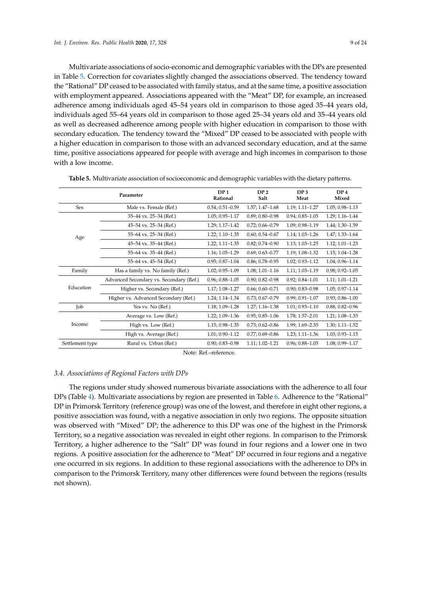Multivariate associations of socio-economic and demographic variables with the DPs are presented in Table [5.](#page-8-0) Correction for covariates slightly changed the associations observed. The tendency toward the "Rational" DP ceased to be associated with family status, and at the same time, a positive association with employment appeared. Associations appeared with the "Meat" DP, for example, an increased adherence among individuals aged 45–54 years old in comparison to those aged 35–44 years old, individuals aged 55–64 years old in comparison to those aged 25–34 years old and 35–44 years old as well as decreased adherence among people with higher education in comparison to those with secondary education. The tendency toward the "Mixed" DP ceased to be associated with people with a higher education in comparison to those with an advanced secondary education, and at the same time, positive associations appeared for people with average and high incomes in comparison to those with a low income.

|                 | Parameter                               |                     | DP <sub>2</sub><br>Salt | DP <sub>3</sub><br>Meat | DP <sub>4</sub><br>Mixed |
|-----------------|-----------------------------------------|---------------------|-------------------------|-------------------------|--------------------------|
| <b>Sex</b>      | Male vs. Female (Ref.)                  | $0.54; 0.51 - 0.59$ | $1.57; 1.47 - 1.68$     | 1.19; 1.11-1.27         | $1.05; 0.98 - 1.13$      |
|                 | 35-44 vs. 25-34 (Ref.)                  | $1.05; 0.95 - 1.17$ | $0.89; 0.80 - 0.98$     | $0.94; 0.85 - 1.05$     | 1.29; 1.16-1.44          |
|                 | 45-54 vs. 25-34 (Ref.)                  | 1.29; 1.17-1.42     | $0.72; 0.66 - 0.79$     | 1.09; 0.98-1.19         | 1.44; 1.30-1.59          |
| Age             | 55-64 vs. 25-34 (Ref.)                  | $1.22; 1.10 - 1.35$ | $0.60; 0.54 - 0.67$     | $1.14; 1.03 - 1.26$     | 1.47; 1.33-1.64          |
|                 | 45-54 vs. 35-44 (Ref.)                  | $1.22; 1.11 - 1.35$ | $0.82; 0.74 - 0.90$     | 1.13; 1.03-1.25         | $1.12; 1.01 - 1.23$      |
|                 | 55–64 vs. 35–44 (Ref.)                  | 1.16; 1.05-1.29     | $0.69; 0.63 - 0.77$     | 1.19; 1.08-1.32         | $1.15; 1.04 - 1.28$      |
|                 | 55–64 vs. 45–54 (Ref.)                  | $0.95; 0.87 - 1.04$ | $0.86; 0.78 - 0.95$     | $1.02; 0.93 - 1.12$     | $1.04; 0.96 - 1.14$      |
| Family          | Has a family vs. No family (Ref.)       | $1.02; 0.95 - 1.09$ | $1.08; 1.01 - 1.16$     | 1.11; 1.03-1.19         | $0.98; 0.92 - 1.05$      |
|                 | Advanced Secondary vs. Secondary (Ref.) | $0.96; 0.88 - 1.05$ | $0.90; 0.82 - 0.98$     | $0.92; 0.84 - 1.01$     | $1.11; 1.01 - 1.21$      |
| Education       | Higher vs. Secondary (Ref.)             | 1.17; 1.08-1.27     | $0.66; 0.60 - 0.71$     | $0.90; 0.83 - 0.98$     | $1.05; 0.97 - 1.14$      |
|                 | Higher vs. Advanced Secondary (Ref.)    | 1.24; 1.14-1.34     | $0.73; 0.67 - 0.79$     | $0.99; 0.91 - 1.07$     | $0.93; 0.86 - 1.00$      |
| Job             | Yes vs. No (Ref.)                       | 1.18; 1.09-1.28     | $1.27; 1.16 - 1.38$     | $1.01; 0.93 - 1.10$     | $0.88; 0.82 - 0.96$      |
|                 | Average vs. Low (Ref.)                  | $1.22; 1.09 - 1.36$ | $0.95; 0.85 - 1.06$     | 1.78; 1.57-2.01         | 1.21; 1.08-1.35          |
| Income          | High vs. Low (Ref.)                     | 1.15; 0.98-1.35     | $0.73; 0.62 - 0.86$     | 1.99; 1.69-2.35         | $1.30; 1.11 - 1.52$      |
|                 | High vs. Average (Ref.)                 | $1.01; 0.90 - 1.12$ | $0.77; 0.69 - 0.86$     | $1.23; 1.11 - 1.36$     | $1.03; 0.93 - 1.15$      |
| Settlement type | Rural vs. Urban (Ref.)                  | $0.90; 0.83 - 0.98$ | $1.11; 1.02 - 1.21$     | $0.96; 0.88 - 1.05$     | 1.08; 0.99-1.17          |

<span id="page-8-0"></span>**Table 5.** Multivariate association of socioeconomic and demographic variables with the dietary patterns.

Note: Ref-reference.

#### *3.4. Associations of Regional Factors with DPs*

The regions under study showed numerous bivariate associations with the adherence to all four DPs (Table [4\)](#page-7-0). Multivariate associations by region are presented in Table [6.](#page-9-0) Adherence to the "Rational" DP in Primorsk Territory (reference group) was one of the lowest, and therefore in eight other regions, a positive association was found, with a negative association in only two regions. The opposite situation was observed with "Mixed" DP; the adherence to this DP was one of the highest in the Primorsk Territory, so a negative association was revealed in eight other regions. In comparison to the Primorsk Territory, a higher adherence to the "Salt" DP was found in four regions and a lower one in two regions. A positive association for the adherence to "Meat" DP occurred in four regions and a negative one occurred in six regions. In addition to these regional associations with the adherence to DPs in comparison to the Primorsk Territory, many other differences were found between the regions (results not shown).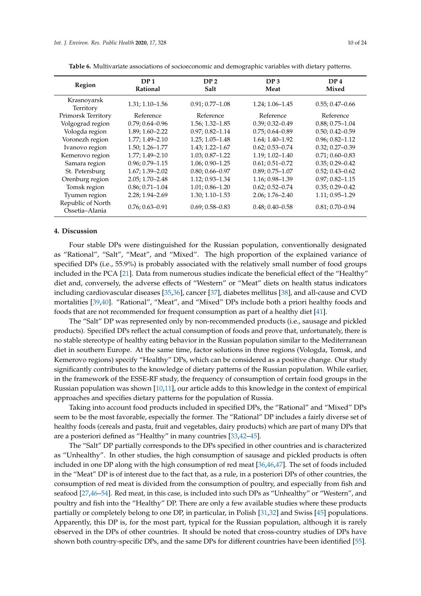| Region                              | DP <sub>1</sub><br><b>Rational</b> | DP <sub>2</sub><br><b>Salt</b> | DP <sub>3</sub><br>Meat | DP <sub>4</sub><br>Mixed |
|-------------------------------------|------------------------------------|--------------------------------|-------------------------|--------------------------|
| Krasnoyarsk<br>Territory            | $1.31; 1.10 - 1.56$                | $0.91; 0.77 - 1.08$            | $1.24; 1.06 - 1.45$     | $0.55; 0.47 - 0.66$      |
| Primorsk Territory                  | Reference                          | Reference                      | Reference               | Reference                |
| Volgograd region                    | $0.79; 0.64 - 0.96$                | $1.56; 1.32 - 1.85$            | $0.39; 0.32 - 0.49$     | $0.88; 0.75 - 1.04$      |
| Vologda region                      | $1.89; 1.60 - 2.22$                | $0.97; 0.82 - 1.14$            | $0.75; 0.64 - 0.89$     | $0.50; 0.42 - 0.59$      |
| Voronezh region                     | $1.77; 1.49 - 2.10$                | $1.25; 1.05 - 1.48$            | $1.64; 1.40 - 1.92$     | $0.96; 0.82 - 1.12$      |
| Ivanovo region                      | $1.50; 1.26 - 1.77$                | $1.43; 1.22 - 1.67$            | $0.62; 0.53 - 0.74$     | $0.32; 0.27 - 0.39$      |
| Kemerovo region                     | $1.77; 1.49 - 2.10$                | $1.03; 0.87 - 1.22$            | $1.19; 1.02 - 1.40$     | $0.71; 0.60 - 0.83$      |
| Samara region                       | $0.96; 0.79 - 1.15$                | $1.06; 0.90 - 1.25$            | $0.61; 0.51 - 0.72$     | $0.35; 0.29 - 0.42$      |
| St. Petersburg                      | $1.67; 1.39 - 2.02$                | $0.80; 0.66 - 0.97$            | $0.89; 0.75 - 1.07$     | $0.52; 0.43 - 0.62$      |
| Orenburg region                     | $2.05; 1.70 - 2.48$                | $1.12; 0.93 - 1.34$            | 1.16; 0.98-1.39         | $0.97; 0.82 - 1.15$      |
| Tomsk region                        | $0.86; 0.71 - 1.04$                | $1.01; 0.86 - 1.20$            | $0.62; 0.52 - 0.74$     | $0.35; 0.29 - 0.42$      |
| Tyumen region                       | $2.28; 1.94 - 2.69$                | $1.30; 1.10 - 1.53$            | $2.06; 1.76 - 2.40$     | $1.11; 0.95 - 1.29$      |
| Republic of North<br>Ossetia-Alania | $0.76; 0.63 - 0.91$                | $0.69; 0.58 - 0.83$            | $0.48; 0.40 - 0.58$     | $0.81; 0.70 - 0.94$      |

<span id="page-9-0"></span>**Table 6.** Multivariate associations of socioeconomic and demographic variables with dietary patterns.

#### **4. Discussion**

Four stable DPs were distinguished for the Russian population, conventionally designated as "Rational", "Salt", "Meat", and "Mixed". The high proportion of the explained variance of specified DPs (i.e., 55.9%) is probably associated with the relatively small number of food groups included in the PCA [\[21\]](#page-20-8). Data from numerous studies indicate the beneficial effect of the "Healthy" diet and, conversely, the adverse effects of "Western" or "Meat" diets on health status indicators including cardiovascular diseases [\[35](#page-21-2)[,36\]](#page-21-3), cancer [\[37\]](#page-21-4), diabetes mellitus [\[38\]](#page-21-5), and all-cause and CVD mortalities [\[39,](#page-21-6)[40\]](#page-21-7). "Rational", "Meat", and "Mixed" DPs include both a priori healthy foods and foods that are not recommended for frequent consumption as part of a healthy diet [\[41\]](#page-21-8).

The "Salt" DP was represented only by non-recommended products (i.e., sausage and pickled products). Specified DPs reflect the actual consumption of foods and prove that, unfortunately, there is no stable stereotype of healthy eating behavior in the Russian population similar to the Mediterranean diet in southern Europe. At the same time, factor solutions in three regions (Vologda, Tomsk, and Kemerovo regions) specify "Healthy" DPs, which can be considered as a positive change. Our study significantly contributes to the knowledge of dietary patterns of the Russian population. While earlier, in the framework of the ESSE-RF study, the frequency of consumption of certain food groups in the Russian population was shown [\[10](#page-19-6)[,11\]](#page-19-7), our article adds to this knowledge in the context of empirical approaches and specifies dietary patterns for the population of Russia.

Taking into account food products included in specified DPs, the "Rational" and "Mixed" DPs seem to be the most favorable, especially the former. The "Rational" DP includes a fairly diverse set of healthy foods (cereals and pasta, fruit and vegetables, dairy products) which are part of many DPs that are a posteriori defined as "Healthy" in many countries [\[33](#page-21-0)[,42–](#page-21-9)[45\]](#page-21-10).

The "Salt" DP partially corresponds to the DPs specified in other countries and is characterized as "Unhealthy". In other studies, the high consumption of sausage and pickled products is often included in one DP along with the high consumption of red meat [\[36,](#page-21-3)[46,](#page-21-11)[47\]](#page-21-12). The set of foods included in the "Meat" DP is of interest due to the fact that, as a rule, in a posteriori DPs of other countries, the consumption of red meat is divided from the consumption of poultry, and especially from fish and seafood [\[27,](#page-20-13)[46](#page-21-11)[–54\]](#page-22-0). Red meat, in this case, is included into such DPs as "Unhealthy" or "Western", and poultry and fish into the "Healthy" DP. There are only a few available studies where these products partially or completely belong to one DP, in particular, in Polish [\[31](#page-20-18)[,32\]](#page-20-16) and Swiss [\[45\]](#page-21-10) populations. Apparently, this DP is, for the most part, typical for the Russian population, although it is rarely observed in the DPs of other countries. It should be noted that cross-country studies of DPs have shown both country-specific DPs, and the same DPs for different countries have been identified [\[55\]](#page-22-1).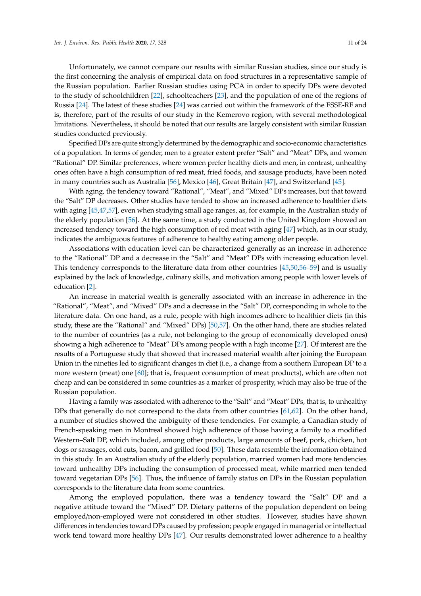Unfortunately, we cannot compare our results with similar Russian studies, since our study is the first concerning the analysis of empirical data on food structures in a representative sample of the Russian population. Earlier Russian studies using PCA in order to specify DPs were devoted to the study of schoolchildren [\[22\]](#page-20-9), schoolteachers [\[23\]](#page-20-19), and the population of one of the regions of Russia [\[24\]](#page-20-10). The latest of these studies [\[24\]](#page-20-10) was carried out within the framework of the ESSE-RF and is, therefore, part of the results of our study in the Kemerovo region, with several methodological limitations. Nevertheless, it should be noted that our results are largely consistent with similar Russian studies conducted previously.

Specified DPs are quite strongly determined by the demographic and socio-economic characteristics of a population. In terms of gender, men to a greater extent prefer "Salt" and "Meat" DPs, and women "Rational" DP. Similar preferences, where women prefer healthy diets and men, in contrast, unhealthy ones often have a high consumption of red meat, fried foods, and sausage products, have been noted in many countries such as Australia [\[56\]](#page-22-2), Mexico [\[46\]](#page-21-11), Great Britain [\[47\]](#page-21-12), and Switzerland [\[45\]](#page-21-10).

With aging, the tendency toward "Rational", "Meat", and "Mixed" DPs increases, but that toward the "Salt" DP decreases. Other studies have tended to show an increased adherence to healthier diets with aging [\[45,](#page-21-10)[47,](#page-21-12)[57\]](#page-22-3), even when studying small age ranges, as, for example, in the Australian study of the elderly population [\[56\]](#page-22-2). At the same time, a study conducted in the United Kingdom showed an increased tendency toward the high consumption of red meat with aging [\[47\]](#page-21-12) which, as in our study, indicates the ambiguous features of adherence to healthy eating among older people.

Associations with education level can be characterized generally as an increase in adherence to the "Rational" DP and a decrease in the "Salt" and "Meat" DPs with increasing education level. This tendency corresponds to the literature data from other countries [\[45](#page-21-10)[,50](#page-21-13)[,56](#page-22-2)[–59\]](#page-22-4) and is usually explained by the lack of knowledge, culinary skills, and motivation among people with lower levels of education [\[2\]](#page-19-10).

An increase in material wealth is generally associated with an increase in adherence in the "Rational", "Meat", and "Mixed" DPs and a decrease in the "Salt" DP, corresponding in whole to the literature data. On one hand, as a rule, people with high incomes adhere to healthier diets (in this study, these are the "Rational" and "Mixed" DPs) [\[50,](#page-21-13)[57\]](#page-22-3). On the other hand, there are studies related to the number of countries (as a rule, not belonging to the group of economically developed ones) showing a high adherence to "Meat" DPs among people with a high income [\[27\]](#page-20-13). Of interest are the results of a Portuguese study that showed that increased material wealth after joining the European Union in the nineties led to significant changes in diet (i.e., a change from a southern European DP to a more western (meat) one [\[60\]](#page-22-5); that is, frequent consumption of meat products), which are often not cheap and can be considered in some countries as a marker of prosperity, which may also be true of the Russian population.

Having a family was associated with adherence to the "Salt" and "Meat" DPs, that is, to unhealthy DPs that generally do not correspond to the data from other countries [\[61](#page-22-6)[,62\]](#page-22-7). On the other hand, a number of studies showed the ambiguity of these tendencies. For example, a Canadian study of French-speaking men in Montreal showed high adherence of those having a family to a modified Western–Salt DP, which included, among other products, large amounts of beef, pork, chicken, hot dogs or sausages, cold cuts, bacon, and grilled food [\[50\]](#page-21-13). These data resemble the information obtained in this study. In an Australian study of the elderly population, married women had more tendencies toward unhealthy DPs including the consumption of processed meat, while married men tended toward vegetarian DPs [\[56\]](#page-22-2). Thus, the influence of family status on DPs in the Russian population corresponds to the literature data from some countries.

Among the employed population, there was a tendency toward the "Salt" DP and a negative attitude toward the "Mixed" DP. Dietary patterns of the population dependent on being employed/non-employed were not considered in other studies. However, studies have shown differences in tendencies toward DPs caused by profession; people engaged in managerial or intellectual work tend toward more healthy DPs [\[47\]](#page-21-12). Our results demonstrated lower adherence to a healthy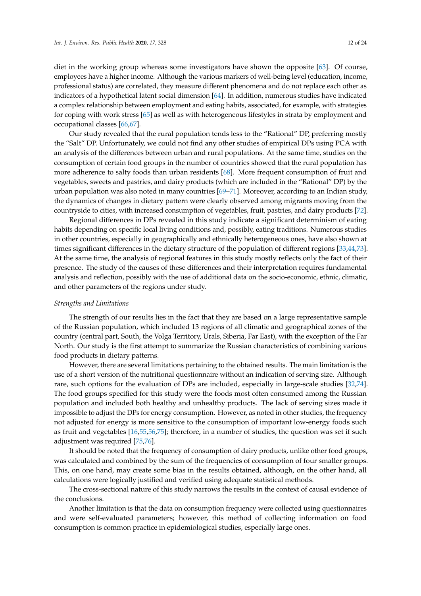diet in the working group whereas some investigators have shown the opposite [\[63\]](#page-22-8). Of course, employees have a higher income. Although the various markers of well-being level (education, income, professional status) are correlated, they measure different phenomena and do not replace each other as indicators of a hypothetical latent social dimension [\[64\]](#page-22-9). In addition, numerous studies have indicated a complex relationship between employment and eating habits, associated, for example, with strategies for coping with work stress [\[65\]](#page-22-10) as well as with heterogeneous lifestyles in strata by employment and occupational classes [\[66,](#page-22-11)[67\]](#page-22-12).

Our study revealed that the rural population tends less to the "Rational" DP, preferring mostly the "Salt" DP. Unfortunately, we could not find any other studies of empirical DPs using PCA with an analysis of the differences between urban and rural populations. At the same time, studies on the consumption of certain food groups in the number of countries showed that the rural population has more adherence to salty foods than urban residents [\[68\]](#page-22-13). More frequent consumption of fruit and vegetables, sweets and pastries, and dairy products (which are included in the "Rational" DP) by the urban population was also noted in many countries [\[69–](#page-22-14)[71\]](#page-22-15). Moreover, according to an Indian study, the dynamics of changes in dietary pattern were clearly observed among migrants moving from the countryside to cities, with increased consumption of vegetables, fruit, pastries, and dairy products [\[72\]](#page-23-0).

Regional differences in DPs revealed in this study indicate a significant determinism of eating habits depending on specific local living conditions and, possibly, eating traditions. Numerous studies in other countries, especially in geographically and ethnically heterogeneous ones, have also shown at times significant differences in the dietary structure of the population of different regions [\[33,](#page-21-0)[44,](#page-21-14)[73\]](#page-23-1). At the same time, the analysis of regional features in this study mostly reflects only the fact of their presence. The study of the causes of these differences and their interpretation requires fundamental analysis and reflection, possibly with the use of additional data on the socio-economic, ethnic, climatic, and other parameters of the regions under study.

#### *Strengths and Limitations*

The strength of our results lies in the fact that they are based on a large representative sample of the Russian population, which included 13 regions of all climatic and geographical zones of the country (central part, South, the Volga Territory, Urals, Siberia, Far East), with the exception of the Far North. Our study is the first attempt to summarize the Russian characteristics of combining various food products in dietary patterns.

However, there are several limitations pertaining to the obtained results. The main limitation is the use of a short version of the nutritional questionnaire without an indication of serving size. Although rare, such options for the evaluation of DPs are included, especially in large-scale studies [\[32,](#page-20-16)[74\]](#page-23-2). The food groups specified for this study were the foods most often consumed among the Russian population and included both healthy and unhealthy products. The lack of serving sizes made it impossible to adjust the DPs for energy consumption. However, as noted in other studies, the frequency not adjusted for energy is more sensitive to the consumption of important low-energy foods such as fruit and vegetables [\[16](#page-20-3)[,55](#page-22-1)[,56](#page-22-2)[,75\]](#page-23-3); therefore, in a number of studies, the question was set if such adjustment was required [\[75](#page-23-3)[,76\]](#page-23-4).

It should be noted that the frequency of consumption of dairy products, unlike other food groups, was calculated and combined by the sum of the frequencies of consumption of four smaller groups. This, on one hand, may create some bias in the results obtained, although, on the other hand, all calculations were logically justified and verified using adequate statistical methods.

The cross-sectional nature of this study narrows the results in the context of causal evidence of the conclusions.

Another limitation is that the data on consumption frequency were collected using questionnaires and were self-evaluated parameters; however, this method of collecting information on food consumption is common practice in epidemiological studies, especially large ones.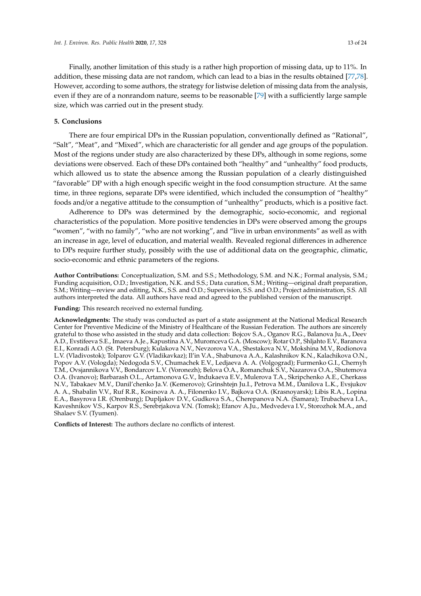Finally, another limitation of this study is a rather high proportion of missing data, up to 11%. In addition, these missing data are not random, which can lead to a bias in the results obtained [\[77,](#page-23-5)[78\]](#page-23-6). However, according to some authors, the strategy for listwise deletion of missing data from the analysis, even if they are of a nonrandom nature, seems to be reasonable [\[79\]](#page-23-7) with a sufficiently large sample size, which was carried out in the present study.

### **5. Conclusions**

There are four empirical DPs in the Russian population, conventionally defined as "Rational", "Salt", "Meat", and "Mixed", which are characteristic for all gender and age groups of the population. Most of the regions under study are also characterized by these DPs, although in some regions, some deviations were observed. Each of these DPs contained both "healthy" and "unhealthy" food products, which allowed us to state the absence among the Russian population of a clearly distinguished "favorable" DP with a high enough specific weight in the food consumption structure. At the same time, in three regions, separate DPs were identified, which included the consumption of "healthy" foods and/or a negative attitude to the consumption of "unhealthy" products, which is a positive fact.

Adherence to DPs was determined by the demographic, socio-economic, and regional characteristics of the population. More positive tendencies in DPs were observed among the groups "women", "with no family", "who are not working", and "live in urban environments" as well as with an increase in age, level of education, and material wealth. Revealed regional differences in adherence to DPs require further study, possibly with the use of additional data on the geographic, climatic, socio-economic and ethnic parameters of the regions.

**Author Contributions:** Conceptualization, S.M. and S.S.; Methodology, S.M. and N.K.; Formal analysis, S.M.; Funding acquisition, O.D.; Investigation, N.K. and S.S.; Data curation, S.M.; Writing—original draft preparation, S.M.; Writing—review and editing, N.K., S.S. and O.D.; Supervision, S.S. and O.D.; Project administration, S.S. All authors interpreted the data. All authors have read and agreed to the published version of the manuscript.

**Funding:** This research received no external funding.

**Acknowledgments:** The study was conducted as part of a state assignment at the National Medical Research Center for Preventive Medicine of the Ministry of Healthcare of the Russian Federation. The authors are sincerely grateful to those who assisted in the study and data collection: Bojcov S.A., Oganov R.G., Balanova Ju.A., Deev A.D., Evstifeeva S.E., Imaeva A.Je., Kapustina A.V., Muromceva G.A. (Moscow); Rotar O.P., Shljahto E.V., Baranova E.I., Konradi A.O. (St. Petersburg); Kulakova N.V., Nevzorova V.A., Shestakova N.V., Mokshina M.V., Rodionova L.V. (Vladivostok); Tolparov G.V. (Vladikavkaz); Il'in V.A., Shabunova A.A., Kalashnikov K.N., Kalachikova O.N., Popov A.V. (Vologda); Nedogoda S.V., Chumachek E.V., Ledjaeva A. A. (Volgograd); Furmenko G.I., Chernyh T.M., Ovsjannikova V.V., Bondarcov L.V. (Voronezh); Belova O.A., Romanchuk S.V., Nazarova O.A., Shutemova O.A. (Ivanovo); Barbarash O.L., Artamonova G.V., Indukaeva E.V., Mulerova T.A., Skripchenko A.E., Cherkass N.V., Tabakaev M.V., Danil'chenko Ja.V. (Kemerovo); Grinshtejn Ju.I., Petrova M.M., Danilova L.K., Evsjukov A. A., Shabalin V.V., Ruf R.R., Kosinova A. A., Filonenko I.V., Bajkova O.A. (Krasnoyarsk); Libis R.A., Lopina E.A., Basyrova I.R. (Orenburg); Dupljakov D.V., Gudkova S.A., Cherepanova N.A. (Samara); Trubacheva I.A., Kaveshnikov V.S., Karpov R.S., Serebrjakova V.N. (Tomsk); Efanov A.Ju., Medvedeva I.V., Storozhok M.A., and Shalaev S.V. (Tyumen).

**Conflicts of Interest:** The authors declare no conflicts of interest.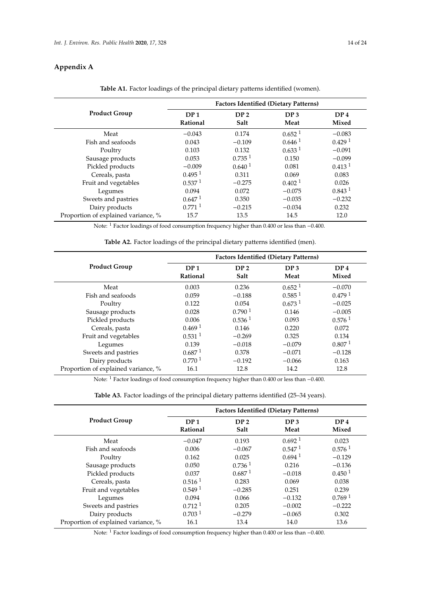# **Appendix A**

<span id="page-13-0"></span>

|                                     | <b>Factors Identified (Dietary Patterns)</b> |                         |                         |                          |  |
|-------------------------------------|----------------------------------------------|-------------------------|-------------------------|--------------------------|--|
| <b>Product Group</b>                | DP <sub>1</sub><br>Rational                  | DP <sub>2</sub><br>Salt | DP <sub>3</sub><br>Meat | DP <sub>4</sub><br>Mixed |  |
| Meat                                | $-0.043$                                     | 0.174                   | 0.652 <sup>1</sup>      | $-0.083$                 |  |
| Fish and seafoods                   | 0.043                                        | $-0.109$                | 0.646 <sup>1</sup>      | 0.429 <sup>1</sup>       |  |
| Poultry                             | 0.103                                        | 0.132                   | 0.633 <sup>1</sup>      | $-0.091$                 |  |
| Sausage products                    | 0.053                                        | 0.735 <sup>1</sup>      | 0.150                   | $-0.099$                 |  |
| Pickled products                    | $-0.009$                                     | 0.640 <sup>1</sup>      | 0.081                   | 0.413 <sup>1</sup>       |  |
| Cereals, pasta                      | 0.495 <sup>1</sup>                           | 0.311                   | 0.069                   | 0.083                    |  |
| Fruit and vegetables                | 0.537 <sup>1</sup>                           | $-0.275$                | 0.402 <sup>1</sup>      | 0.026                    |  |
| Legumes                             | 0.094                                        | 0.072                   | $-0.075$                | 0.843 <sup>1</sup>       |  |
| Sweets and pastries                 | 0.647 <sup>1</sup>                           | 0.350                   | $-0.035$                | $-0.232$                 |  |
| Dairy products                      | $0.771$ <sup>1</sup>                         | $-0.215$                | $-0.034$                | 0.232                    |  |
| Proportion of explained variance, % | 15.7                                         | 13.5                    | 14.5                    | 12.0                     |  |

**Table A1.** Factor loadings of the principal dietary patterns identified (women).

Note: <sup>1</sup> Factor loadings of food consumption frequency higher than 0.400 or less than −0.400.

| Table A2. Factor loadings of the principal dietary patterns identified (men). |  |  |  |
|-------------------------------------------------------------------------------|--|--|--|
|-------------------------------------------------------------------------------|--|--|--|

|                                     | <b>Factors Identified (Dietary Patterns)</b> |                         |                         |                          |  |
|-------------------------------------|----------------------------------------------|-------------------------|-------------------------|--------------------------|--|
| <b>Product Group</b>                | DP <sub>1</sub><br>Rational                  | DP <sub>2</sub><br>Salt | DP <sub>3</sub><br>Meat | DP <sub>4</sub><br>Mixed |  |
| Meat                                | 0.003                                        | 0.236                   | 0.652 <sup>1</sup>      | $-0.070$                 |  |
| Fish and seafoods                   | 0.059                                        | $-0.188$                | 0.585 <sup>1</sup>      | 0.479 <sup>1</sup>       |  |
| Poultry                             | 0.122                                        | 0.054                   | 0.673 <sup>1</sup>      | $-0.025$                 |  |
| Sausage products                    | 0.028                                        | 0.790 <sup>1</sup>      | 0.146                   | $-0.005$                 |  |
| Pickled products                    | 0.006                                        | 0.536 <sup>1</sup>      | 0.093                   | 0.576 <sup>1</sup>       |  |
| Cereals, pasta                      | 0.469 <sup>1</sup>                           | 0.146                   | 0.220                   | 0.072                    |  |
| Fruit and vegetables                | 0.531 <sup>1</sup>                           | $-0.269$                | 0.325                   | 0.134                    |  |
| Legumes                             | 0.139                                        | $-0.018$                | $-0.079$                | 0.807 <sup>1</sup>       |  |
| Sweets and pastries                 | 0.687 <sup>1</sup>                           | 0.378                   | $-0.071$                | $-0.128$                 |  |
| Dairy products                      | 0.770 <sup>1</sup>                           | $-0.192$                | $-0.066$                | 0.163                    |  |
| Proportion of explained variance, % | 16.1                                         | 12.8                    | 14.2                    | 12.8                     |  |

Note: <sup>1</sup> Factor loadings of food consumption frequency higher than 0.400 or less than −0.400.

**Table A3.** Factor loadings of the principal dietary patterns identified (25–34 years).

|                                     | <b>Factors Identified (Dietary Patterns)</b> |                         |                         |                          |  |
|-------------------------------------|----------------------------------------------|-------------------------|-------------------------|--------------------------|--|
| <b>Product Group</b>                | DP <sub>1</sub><br>Rational                  | DP <sub>2</sub><br>Salt | DP <sub>3</sub><br>Meat | DP <sub>4</sub><br>Mixed |  |
| Meat                                | $-0.047$                                     | 0.193                   | 0.692 <sup>1</sup>      | 0.023                    |  |
| Fish and seafoods                   | 0.006                                        | $-0.067$                | 0.547 <sup>1</sup>      | 0.576 <sup>1</sup>       |  |
| Poultry                             | 0.162                                        | 0.025                   | $0.694$ <sup>1</sup>    | $-0.129$                 |  |
| Sausage products                    | 0.050                                        | 0.7361                  | 0.216                   | $-0.136$                 |  |
| Pickled products                    | 0.037                                        | 0.687 <sup>1</sup>      | $-0.018$                | 0.450 <sup>1</sup>       |  |
| Cereals, pasta                      | 0.516 <sup>1</sup>                           | 0.283                   | 0.069                   | 0.038                    |  |
| Fruit and vegetables                | 0.5491                                       | $-0.285$                | 0.251                   | 0.239                    |  |
| Legumes                             | 0.094                                        | 0.066                   | $-0.132$                | 0.769 <sup>1</sup>       |  |
| Sweets and pastries                 | 0.712 <sup>1</sup>                           | 0.205                   | $-0.002$                | $-0.222$                 |  |
| Dairy products                      | 0.703 <sup>1</sup>                           | $-0.279$                | $-0.065$                | 0.302                    |  |
| Proportion of explained variance, % | 16.1                                         | 13.4                    | 14.0                    | 13.6                     |  |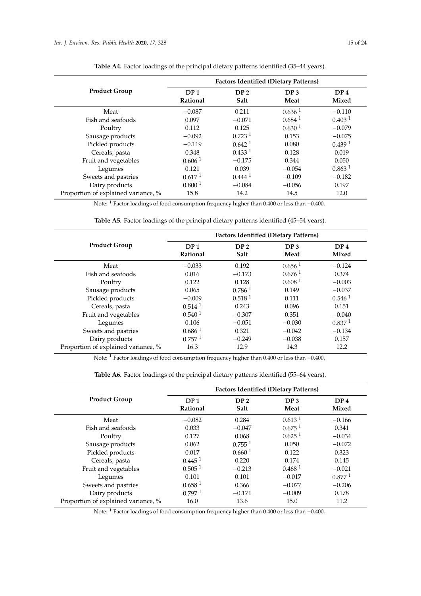|                                     | <b>Factors Identified (Dietary Patterns)</b> |                         |                         |                          |  |
|-------------------------------------|----------------------------------------------|-------------------------|-------------------------|--------------------------|--|
| <b>Product Group</b>                | DP <sub>1</sub><br>Rational                  | DP <sub>2</sub><br>Salt | DP <sub>3</sub><br>Meat | DP <sub>4</sub><br>Mixed |  |
| Meat                                | $-0.087$                                     | 0.211                   | 0.636 <sup>1</sup>      | $-0.110$                 |  |
| Fish and seafoods                   | 0.097                                        | $-0.071$                | 0.684 <sup>1</sup>      | 0.403 <sup>1</sup>       |  |
| Poultry                             | 0.112                                        | 0.125                   | 0.630 <sup>1</sup>      | $-0.079$                 |  |
| Sausage products                    | $-0.092$                                     | 0.723 <sup>1</sup>      | 0.153                   | $-0.075$                 |  |
| Pickled products                    | $-0.119$                                     | 0.642 <sup>1</sup>      | 0.080                   | 0.439 <sup>1</sup>       |  |
| Cereals, pasta                      | 0.348                                        | 0.433 <sup>1</sup>      | 0.128                   | 0.019                    |  |
| Fruit and vegetables                | 0.606 <sup>1</sup>                           | $-0.175$                | 0.344                   | 0.050                    |  |
| Legumes                             | 0.121                                        | 0.039                   | $-0.054$                | 0.863 <sup>1</sup>       |  |
| Sweets and pastries                 | 0.617 <sup>1</sup>                           | $0.444^{1}$             | $-0.109$                | $-0.182$                 |  |
| Dairy products                      | 0.800 <sup>1</sup>                           | $-0.084$                | $-0.056$                | 0.197                    |  |
| Proportion of explained variance, % | 15.8                                         | 14.2                    | 14.5                    | 12.0                     |  |

**Table A4.** Factor loadings of the principal dietary patterns identified (35–44 years).

Note: <sup>1</sup> Factor loadings of food consumption frequency higher than 0.400 or less than −0.400.

|                                     | <b>Factors Identified (Dietary Patterns)</b> |                         |                         |                          |  |
|-------------------------------------|----------------------------------------------|-------------------------|-------------------------|--------------------------|--|
| <b>Product Group</b>                | DP <sub>1</sub><br>Rational                  | DP <sub>2</sub><br>Salt | DP <sub>3</sub><br>Meat | DP <sub>4</sub><br>Mixed |  |
| Meat                                | $-0.033$                                     | 0.192                   | $0.656$ <sup>1</sup>    | $-0.124$                 |  |
| Fish and seafoods                   | 0.016                                        | $-0.173$                | 0.676 <sup>1</sup>      | 0.374                    |  |
| Poultry                             | 0.122                                        | 0.128                   | 0.608 <sup>1</sup>      | $-0.003$                 |  |
| Sausage products                    | 0.065                                        | 0.786 <sup>1</sup>      | 0.149                   | $-0.037$                 |  |
| Pickled products                    | $-0.009$                                     | 0.518 <sup>1</sup>      | 0.111                   | 0.546 <sup>1</sup>       |  |
| Cereals, pasta                      | 0.514 <sup>1</sup>                           | 0.243                   | 0.096                   | 0.151                    |  |
| Fruit and vegetables                | 0.540 <sup>1</sup>                           | $-0.307$                | 0.351                   | $-0.040$                 |  |
| Legumes                             | 0.106                                        | $-0.051$                | $-0.030$                | 0.837 <sup>1</sup>       |  |
| Sweets and pastries                 | 0.686 <sup>1</sup>                           | 0.321                   | $-0.042$                | $-0.134$                 |  |
| Dairy products                      | 0.757 <sup>1</sup>                           | $-0.249$                | $-0.038$                | 0.157                    |  |
| Proportion of explained variance, % | 16.3                                         | 12.9                    | 14.3                    | 12.2                     |  |

Note: <sup>1</sup> Factor loadings of food consumption frequency higher than 0.400 or less than −0.400.

**Table A6.** Factor loadings of the principal dietary patterns identified (55–64 years).

|                                     | <b>Factors Identified (Dietary Patterns)</b> |                         |                         |                          |  |  |
|-------------------------------------|----------------------------------------------|-------------------------|-------------------------|--------------------------|--|--|
| <b>Product Group</b>                | DP <sub>1</sub><br>Rational                  | DP <sub>2</sub><br>Salt | DP <sub>3</sub><br>Meat | DP <sub>4</sub><br>Mixed |  |  |
| Meat                                | $-0.082$                                     | 0.284                   | 0.613 <sup>1</sup>      | $-0.166$                 |  |  |
| Fish and seafoods                   | 0.033                                        | $-0.047$                | 0.675 <sup>1</sup>      | 0.341                    |  |  |
| Poultry                             | 0.127                                        | 0.068                   | 0.625 <sup>1</sup>      | $-0.034$                 |  |  |
| Sausage products                    | 0.062                                        | 0.755 <sup>1</sup>      | 0.050                   | $-0.072$                 |  |  |
| Pickled products                    | 0.017                                        | 0.660 <sup>1</sup>      | 0.122                   | 0.323                    |  |  |
| Cereals, pasta                      | 0.445 <sup>1</sup>                           | 0.220                   | 0.174                   | 0.145                    |  |  |
| Fruit and vegetables                | 0.505 <sup>1</sup>                           | $-0.213$                | 0.468 <sup>1</sup>      | $-0.021$                 |  |  |
| Legumes                             | 0.101                                        | 0.101                   | $-0.017$                | 0.877 <sup>1</sup>       |  |  |
| Sweets and pastries                 | 0.658 <sup>1</sup>                           | 0.366                   | $-0.077$                | $-0.206$                 |  |  |
| Dairy products                      | 0.7971                                       | $-0.171$                | $-0.009$                | 0.178                    |  |  |
| Proportion of explained variance, % | 16.0                                         | 13.6                    | 15.0                    | 11.2                     |  |  |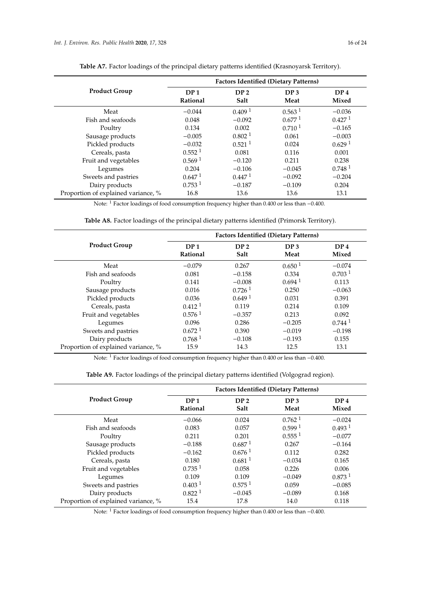|                                     | <b>Factors Identified (Dietary Patterns)</b> |                         |                         |                          |  |
|-------------------------------------|----------------------------------------------|-------------------------|-------------------------|--------------------------|--|
| <b>Product Group</b>                | DP <sub>1</sub><br>Rational                  | DP <sub>2</sub><br>Salt | DP <sub>3</sub><br>Meat | DP <sub>4</sub><br>Mixed |  |
| Meat                                | $-0.044$                                     | 0.409 <sup>1</sup>      | 0.563 <sup>1</sup>      | $-0.036$                 |  |
| Fish and seafoods                   | 0.048                                        | $-0.092$                | $0.677^{1}$             | 0.427 <sup>1</sup>       |  |
| Poultry                             | 0.134                                        | 0.002                   | 0.710 <sup>1</sup>      | $-0.165$                 |  |
| Sausage products                    | $-0.005$                                     | 0.802 <sup>1</sup>      | 0.061                   | $-0.003$                 |  |
| Pickled products                    | $-0.032$                                     | $0.521$ <sup>1</sup>    | 0.024                   | 0.629 <sup>1</sup>       |  |
| Cereals, pasta                      | 0.552 <sup>1</sup>                           | 0.081                   | 0.116                   | 0.001                    |  |
| Fruit and vegetables                | 0.569 <sup>1</sup>                           | $-0.120$                | 0.211                   | 0.238                    |  |
| Legumes                             | 0.204                                        | $-0.106$                | $-0.045$                | 0.748 <sup>1</sup>       |  |
| Sweets and pastries                 | 0.647 <sup>1</sup>                           | 0.447 <sup>1</sup>      | $-0.092$                | $-0.204$                 |  |
| Dairy products                      | 0.753 <sup>1</sup>                           | $-0.187$                | $-0.109$                | 0.204                    |  |
| Proportion of explained variance, % | 16.8                                         | 13.6                    | 13.6                    | 13.1                     |  |

Table A7. Factor loadings of the principal dietary patterns identified (Krasnoyarsk Territory).

Note: <sup>1</sup> Factor loadings of food consumption frequency higher than 0.400 or less than −0.400.

|  |  |  | <b>Table A8.</b> Factor loadings of the principal dietary patterns identified (Primorsk Territory). |  |  |  |  |  |
|--|--|--|-----------------------------------------------------------------------------------------------------|--|--|--|--|--|
|--|--|--|-----------------------------------------------------------------------------------------------------|--|--|--|--|--|

|                                     | <b>Factors Identified (Dietary Patterns)</b> |                         |                         |                          |  |
|-------------------------------------|----------------------------------------------|-------------------------|-------------------------|--------------------------|--|
| <b>Product Group</b>                | DP <sub>1</sub><br>Rational                  | DP <sub>2</sub><br>Salt | DP <sub>3</sub><br>Meat | DP <sub>4</sub><br>Mixed |  |
| Meat                                | $-0.079$                                     | 0.267                   | 0.650 <sup>1</sup>      | $-0.074$                 |  |
| Fish and seafoods                   | 0.081                                        | $-0.158$                | 0.334                   | 0.703 <sup>1</sup>       |  |
| Poultry                             | 0.141                                        | $-0.008$                | $0.694$ <sup>1</sup>    | 0.113                    |  |
| Sausage products                    | 0.016                                        | $0.726$ <sup>1</sup>    | 0.250                   | $-0.063$                 |  |
| Pickled products                    | 0.036                                        | 0.649 <sup>1</sup>      | 0.031                   | 0.391                    |  |
| Cereals, pasta                      | 0.412 <sup>1</sup>                           | 0.119                   | 0.214                   | 0.109                    |  |
| Fruit and vegetables                | 0.576 <sup>1</sup>                           | $-0.357$                | 0.213                   | 0.092                    |  |
| Legumes                             | 0.096                                        | 0.286                   | $-0.205$                | 0.744 <sup>1</sup>       |  |
| Sweets and pastries                 | 0.672 <sup>1</sup>                           | 0.390                   | $-0.019$                | $-0.198$                 |  |
| Dairy products                      | 0.768 <sup>1</sup>                           | $-0.108$                | $-0.193$                | 0.155                    |  |
| Proportion of explained variance, % | 15.9                                         | 14.3                    | 12.5                    | 13.1                     |  |

Note: <sup>1</sup> Factor loadings of food consumption frequency higher than 0.400 or less than −0.400.

|  | Table A9. Factor loadings of the principal dietary patterns identified (Volgograd region). |  |
|--|--------------------------------------------------------------------------------------------|--|
|  |                                                                                            |  |

|                                     | <b>Factors Identified (Dietary Patterns)</b> |                         |                         |                          |  |
|-------------------------------------|----------------------------------------------|-------------------------|-------------------------|--------------------------|--|
| <b>Product Group</b>                | DP <sub>1</sub><br>Rational                  | DP <sub>2</sub><br>Salt | DP <sub>3</sub><br>Meat | DP <sub>4</sub><br>Mixed |  |
| Meat                                | $-0.066$                                     | 0.024                   | $0.762$ <sup>1</sup>    | $-0.024$                 |  |
| Fish and seafoods                   | 0.083                                        | 0.057                   | 0.599 <sup>1</sup>      | 0.493 <sup>1</sup>       |  |
| Poultry                             | 0.211                                        | 0.201                   | 0.555 <sup>1</sup>      | $-0.077$                 |  |
| Sausage products                    | $-0.188$                                     | 0.687 <sup>1</sup>      | 0.267                   | $-0.164$                 |  |
| Pickled products                    | $-0.162$                                     | 0.676 <sup>1</sup>      | 0.112                   | 0.282                    |  |
| Cereals, pasta                      | 0.180                                        | 0.681 <sup>1</sup>      | $-0.034$                | 0.165                    |  |
| Fruit and vegetables                | $0.735$ <sup>1</sup>                         | 0.058                   | 0.226                   | 0.006                    |  |
| Legumes                             | 0.109                                        | 0.109                   | $-0.049$                | 0.873 <sup>1</sup>       |  |
| Sweets and pastries                 | 0.403 <sup>1</sup>                           | 0.575 <sup>1</sup>      | 0.059                   | $-0.085$                 |  |
| Dairy products                      | 0.822 <sup>1</sup>                           | $-0.045$                | $-0.089$                | 0.168                    |  |
| Proportion of explained variance, % | 15.4                                         | 17.8                    | 14.0                    | 0.118                    |  |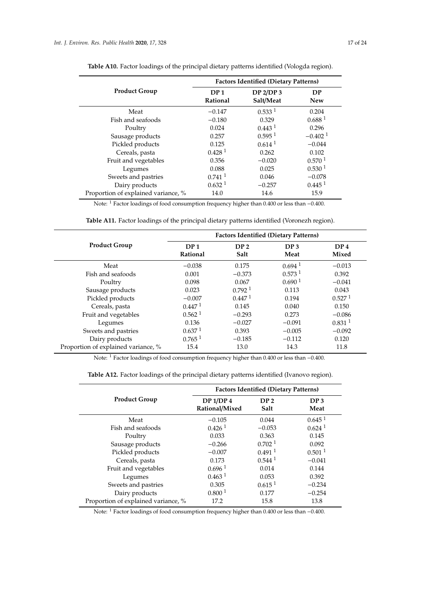$\overline{a}$ 

|                                     | <b>Factors Identified (Dietary Patterns)</b> |                               |                         |  |  |
|-------------------------------------|----------------------------------------------|-------------------------------|-------------------------|--|--|
| <b>Product Group</b>                | DP <sub>1</sub><br>Rational                  | <b>DP 2/DP 3</b><br>Salt/Meat | <b>DP</b><br><b>New</b> |  |  |
| Meat                                | $-0.147$                                     | 0.533 <sup>1</sup>            | 0.204                   |  |  |
| Fish and seafoods                   | $-0.180$                                     | 0.329                         | 0.688 <sup>1</sup>      |  |  |
| Poultry                             | 0.024                                        | 0.443 <sup>1</sup>            | 0.296                   |  |  |
| Sausage products                    | 0.257                                        | 0.595 <sup>1</sup>            | $-0.402$ <sup>1</sup>   |  |  |
| Pickled products                    | 0.125                                        | 0.614 <sup>1</sup>            | $-0.044$                |  |  |
| Cereals, pasta                      | 0.428 <sup>1</sup>                           | 0.262                         | 0.102                   |  |  |
| Fruit and vegetables                | 0.356                                        | $-0.020$                      | 0.570 <sup>1</sup>      |  |  |
| Legumes                             | 0.088                                        | 0.025                         | 0.530 <sup>1</sup>      |  |  |
| Sweets and pastries                 | $0.741$ <sup>1</sup>                         | 0.046                         | $-0.078$                |  |  |
| Dairy products                      | 0.632 <sup>1</sup>                           | $-0.257$                      | 0.445 <sup>1</sup>      |  |  |
| Proportion of explained variance, % | 14.0                                         | 14.6                          | 15.9                    |  |  |

**Table A10.** Factor loadings of the principal dietary patterns identified (Vologda region).

Note: <sup>1</sup> Factor loadings of food consumption frequency higher than 0.400 or less than −0.400.

|                                     | <b>Factors Identified (Dietary Patterns)</b> |                         |                         |                          |  |
|-------------------------------------|----------------------------------------------|-------------------------|-------------------------|--------------------------|--|
| <b>Product Group</b>                | DP <sub>1</sub><br>Rational                  | DP <sub>2</sub><br>Salt | DP <sub>3</sub><br>Meat | DP <sub>4</sub><br>Mixed |  |
| Meat                                | $-0.038$                                     | 0.175                   | $0.694$ <sup>1</sup>    | $-0.013$                 |  |
| Fish and seafoods                   | 0.001                                        | $-0.373$                | 0.573 <sup>1</sup>      | 0.392                    |  |
| Poultry                             | 0.098                                        | 0.067                   | 0.690 <sup>1</sup>      | $-0.041$                 |  |
| Sausage products                    | 0.023                                        | 0.792 <sup>1</sup>      | 0.113                   | 0.043                    |  |
| Pickled products                    | $-0.007$                                     | 0.447 <sup>1</sup>      | 0.194                   | 0.527 <sup>1</sup>       |  |
| Cereals, pasta                      | 0.447 <sup>1</sup>                           | 0.145                   | 0.040                   | 0.150                    |  |
| Fruit and vegetables                | 0.562 <sup>1</sup>                           | $-0.293$                | 0.273                   | $-0.086$                 |  |
| Legumes                             | 0.136                                        | $-0.027$                | $-0.091$                | 0.831 <sup>1</sup>       |  |
| Sweets and pastries                 | 0.637 <sup>1</sup>                           | 0.393                   | $-0.005$                | $-0.092$                 |  |
| Dairy products                      | $0.765$ <sup>1</sup>                         | $-0.185$                | $-0.112$                | 0.120                    |  |
| Proportion of explained variance, % | 15.4                                         | 13.0                    | 14.3                    | 11.8                     |  |

Note: <sup>1</sup> Factor loadings of food consumption frequency higher than 0.400 or less than −0.400.

| Table A12. Factor loadings of the principal dietary patterns identified (Ivanovo region). |
|-------------------------------------------------------------------------------------------|
|-------------------------------------------------------------------------------------------|

|                                     | <b>Factors Identified (Dietary Patterns)</b> |                         |                         |  |
|-------------------------------------|----------------------------------------------|-------------------------|-------------------------|--|
| <b>Product Group</b>                | DP 1/DP 4<br>Rational/Mixed                  | DP <sub>2</sub><br>Salt | DP <sub>3</sub><br>Meat |  |
| Meat                                | $-0.105$                                     | 0.044                   | 0.645 <sup>1</sup>      |  |
| Fish and seafoods                   | $0.426$ <sup>1</sup>                         | $-0.053$                | $0.624$ <sup>1</sup>    |  |
| Poultry                             | 0.033                                        | 0.363                   | 0.145                   |  |
| Sausage products                    | $-0.266$                                     | 0.702 <sup>1</sup>      | 0.092                   |  |
| Pickled products                    | $-0.007$                                     | $0.491$ <sup>1</sup>    | 0.501 <sup>1</sup>      |  |
| Cereals, pasta                      | 0.173                                        | 0.544 <sup>1</sup>      | $-0.041$                |  |
| Fruit and vegetables                | 0.696 <sup>1</sup>                           | 0.014                   | 0.144                   |  |
| Legumes                             | 0.463 <sup>1</sup>                           | 0.053                   | 0.392                   |  |
| Sweets and pastries                 | 0.305                                        | 0.615 <sup>1</sup>      | $-0.234$                |  |
| Dairy products                      | 0.800 <sup>1</sup>                           | 0.177                   | $-0.254$                |  |
| Proportion of explained variance, % | 17.2                                         | 15.8                    | 13.8                    |  |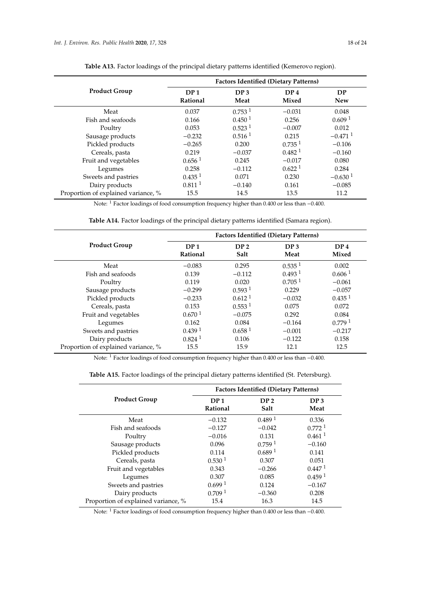|                                     | <b>Factors Identified (Dietary Patterns)</b> |                         |                          |                       |
|-------------------------------------|----------------------------------------------|-------------------------|--------------------------|-----------------------|
| <b>Product Group</b>                | DP <sub>1</sub><br>Rational                  | DP <sub>3</sub><br>Meat | DP <sub>4</sub><br>Mixed | DP<br><b>New</b>      |
| Meat                                | 0.037                                        | 0.753 <sup>1</sup>      | $-0.031$                 | 0.048                 |
| Fish and seafoods                   | 0.166                                        | 0.450 <sup>1</sup>      | 0.256                    | 0.609 <sup>1</sup>    |
| Poultry                             | 0.053                                        | 0.523 <sup>1</sup>      | $-0.007$                 | 0.012                 |
| Sausage products                    | $-0.232$                                     | 0.516 <sup>1</sup>      | 0.215                    | $-0.471$ <sup>1</sup> |
| Pickled products                    | $-0.265$                                     | 0.200                   | 0.735 <sup>1</sup>       | $-0.106$              |
| Cereals, pasta                      | 0.219                                        | $-0.037$                | 0.482 <sup>1</sup>       | $-0.160$              |
| Fruit and vegetables                | 0.656 <sup>1</sup>                           | 0.245                   | $-0.017$                 | 0.080                 |
| Legumes                             | 0.258                                        | $-0.112$                | 0.622 <sup>1</sup>       | 0.284                 |
| Sweets and pastries                 | 0.435 <sup>1</sup>                           | 0.071                   | 0.230                    | $-0.630$ <sup>1</sup> |
| Dairy products                      | 0.811 <sup>1</sup>                           | $-0.140$                | 0.161                    | $-0.085$              |
| Proportion of explained variance, % | 15.5                                         | 14.5                    | 13.5                     | 11.2                  |

**Table A13.** Factor loadings of the principal dietary patterns identified (Kemerovo region).

Note: <sup>1</sup> Factor loadings of food consumption frequency higher than 0.400 or less than −0.400.

| <b>Table A14.</b> Factor loadings of the principal dietary patterns identified (Samara region). |  |  |
|-------------------------------------------------------------------------------------------------|--|--|
|-------------------------------------------------------------------------------------------------|--|--|

|                                     |                      |                    | <b>Factors Identified (Dietary Patterns)</b> |                    |
|-------------------------------------|----------------------|--------------------|----------------------------------------------|--------------------|
| <b>Product Group</b>                | DP <sub>1</sub>      | DP <sub>2</sub>    | DP <sub>3</sub>                              | DP <sub>4</sub>    |
|                                     | Rational             | Salt               | Meat                                         | Mixed              |
| Meat                                | $-0.083$             | 0.295              | 0.535 <sup>1</sup>                           | 0.002              |
| Fish and seafoods                   | 0.139                | $-0.112$           | 0.493 <sup>1</sup>                           | 0.606 <sup>1</sup> |
| Poultry                             | 0.119                | 0.020              | 0.705 <sup>1</sup>                           | $-0.061$           |
| Sausage products                    | $-0.299$             | 0.593 <sup>1</sup> | 0.229                                        | $-0.057$           |
| Pickled products                    | $-0.233$             | 0.612 <sup>1</sup> | $-0.032$                                     | 0.435 <sup>1</sup> |
| Cereals, pasta                      | 0.153                | 0.553 <sup>1</sup> | 0.075                                        | 0.072              |
| Fruit and vegetables                | 0.670 <sup>1</sup>   | $-0.075$           | 0.292                                        | 0.084              |
| Legumes                             | 0.162                | 0.084              | $-0.164$                                     | 0.7791             |
| Sweets and pastries                 | 0.439 <sup>1</sup>   | 0.658 <sup>1</sup> | $-0.001$                                     | $-0.217$           |
| Dairy products                      | $0.824$ <sup>1</sup> | 0.106              | $-0.122$                                     | 0.158              |
| Proportion of explained variance, % | 15.5                 | 15.9               | 12.1                                         | 12.5               |

Note: <sup>1</sup> Factor loadings of food consumption frequency higher than 0.400 or less than −0.400.

|                                     |                             | <b>Factors Identified (Dietary Patterns)</b> |                         |
|-------------------------------------|-----------------------------|----------------------------------------------|-------------------------|
| <b>Product Group</b>                | DP <sub>1</sub><br>Rational | DP <sub>2</sub><br>Salt                      | DP <sub>3</sub><br>Meat |
| Meat                                | $-0.132$                    | 0.489 <sup>1</sup>                           | 0.336                   |
| Fish and seafoods                   | $-0.127$                    | $-0.042$                                     | 0.772 <sup>1</sup>      |
| Poultry                             | $-0.016$                    | 0.131                                        | $0.461$ <sup>1</sup>    |
| Sausage products                    | 0.096                       | $0.759$ <sup>1</sup>                         | $-0.160$                |
| Pickled products                    | 0.114                       | 0.689 <sup>1</sup>                           | 0.141                   |
| Cereals, pasta                      | 0.530 <sup>1</sup>          | 0.307                                        | 0.051                   |
| Fruit and vegetables                | 0.343                       | $-0.266$                                     | 0.447 <sup>1</sup>      |
| Legumes                             | 0.307                       | 0.085                                        | 0.459 <sup>1</sup>      |
| Sweets and pastries                 | 0.699 <sup>1</sup>          | 0.124                                        | $-0.167$                |
| Dairy products                      | 0.709 <sup>1</sup>          | $-0.360$                                     | 0.208                   |
| Proportion of explained variance, % | 15.4                        | 16.3                                         | 14.5                    |

**Table A15.** Factor loadings of the principal dietary patterns identified (St. Petersburg).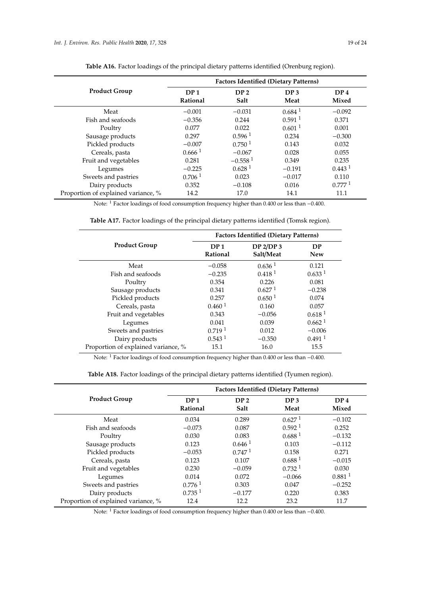|                                     | <b>Factors Identified (Dietary Patterns)</b> |                         |                         |                          |
|-------------------------------------|----------------------------------------------|-------------------------|-------------------------|--------------------------|
| <b>Product Group</b>                | DP <sub>1</sub><br>Rational                  | DP <sub>2</sub><br>Salt | DP <sub>3</sub><br>Meat | DP <sub>4</sub><br>Mixed |
| Meat                                | $-0.001$                                     | $-0.031$                | $0.684$ <sup>1</sup>    | $-0.092$                 |
| Fish and seafoods                   | $-0.356$                                     | 0.244                   | $0.591$ <sup>1</sup>    | 0.371                    |
| Poultry                             | 0.077                                        | 0.022                   | 0.601 <sup>1</sup>      | 0.001                    |
| Sausage products                    | 0.297                                        | 0.596 <sup>1</sup>      | 0.234                   | $-0.300$                 |
| Pickled products                    | $-0.007$                                     | 0.750 <sup>1</sup>      | 0.143                   | 0.032                    |
| Cereals, pasta                      | 0.6661                                       | $-0.067$                | 0.028                   | 0.055                    |
| Fruit and vegetables                | 0.281                                        | $-0.558$ <sup>1</sup>   | 0.349                   | 0.235                    |
| Legumes                             | $-0.225$                                     | 0.628 <sup>1</sup>      | $-0.191$                | 0.443 <sup>1</sup>       |
| Sweets and pastries                 | 0.706 <sup>1</sup>                           | 0.023                   | $-0.017$                | 0.110                    |
| Dairy products                      | 0.352                                        | $-0.108$                | 0.016                   | 0.7771                   |
| Proportion of explained variance, % | 14.2                                         | 17.0                    | 14.1                    | 11.1                     |

**Table A16.** Factor loadings of the principal dietary patterns identified (Orenburg region).

Note: <sup>1</sup> Factor loadings of food consumption frequency higher than 0.400 or less than −0.400.

|                      |                             | <b>Factors Identified (Dietary Patterns)</b>  |                      |  |  |
|----------------------|-----------------------------|-----------------------------------------------|----------------------|--|--|
| <b>Product Group</b> | DP <sub>1</sub><br>Rational | DP <sub>2</sub> /DP <sub>3</sub><br>Salt/Meat | DP<br><b>New</b>     |  |  |
| Meat                 | $-0.058$                    | 0.636 <sup>1</sup>                            | 0.121                |  |  |
| Fish and seafoods    | $-0.235$                    | 0.418 <sup>1</sup>                            | 0.633 <sup>1</sup>   |  |  |
| Poultry              | 0.354                       | 0.226                                         | 0.081                |  |  |
| Sausage products     | 0.341                       | 0.627 <sup>1</sup>                            | $-0.238$             |  |  |
| Pickled products     | 0.257                       | 0.650 <sup>1</sup>                            | 0.074                |  |  |
| Cereals, pasta       | 0.460 <sup>1</sup>          | 0.160                                         | 0.057                |  |  |
| Fruit and vegetables | 0.343                       | $-0.056$                                      | 0.618 <sup>1</sup>   |  |  |
| Legumes              | 0.041                       | 0.039                                         | 0.662 <sup>1</sup>   |  |  |
| Sweets and pastries  | 0.719 <sup>1</sup>          | 0.012                                         | $-0.006$             |  |  |
| Dairy products       | 0.543 <sup>1</sup>          | $-0.350$                                      | $0.491$ <sup>1</sup> |  |  |

**Table A17.** Factor loadings of the principal dietary patterns identified (Tomsk region).

Note: <sup>1</sup> Factor loadings of food consumption frequency higher than 0.400 or less than −0.400.

Proportion of explained variance, % 15.1 16.0 15.5

| Table A18. Factor loadings of the principal dietary patterns identified (Tyumen region). |  |  |  |  |
|------------------------------------------------------------------------------------------|--|--|--|--|
|------------------------------------------------------------------------------------------|--|--|--|--|

|                                     | <b>Factors Identified (Dietary Patterns)</b> |                         |                         |                          |
|-------------------------------------|----------------------------------------------|-------------------------|-------------------------|--------------------------|
| <b>Product Group</b>                | DP <sub>1</sub><br>Rational                  | DP <sub>2</sub><br>Salt | DP <sub>3</sub><br>Meat | DP <sub>4</sub><br>Mixed |
| Meat                                | 0.034                                        | 0.289                   | 0.627 <sup>1</sup>      | $-0.102$                 |
| Fish and seafoods                   | $-0.073$                                     | 0.087                   | 0.592 <sup>1</sup>      | 0.252                    |
| Poultry                             | 0.030                                        | 0.083                   | 0.688 <sup>1</sup>      | $-0.132$                 |
| Sausage products                    | 0.123                                        | 0.646 <sup>1</sup>      | 0.103                   | $-0.112$                 |
| Pickled products                    | $-0.053$                                     | 0.747 <sup>1</sup>      | 0.158                   | 0.271                    |
| Cereals, pasta                      | 0.123                                        | 0.107                   | 0.688 <sup>1</sup>      | $-0.015$                 |
| Fruit and vegetables                | 0.230                                        | $-0.059$                | 0.732 <sup>1</sup>      | 0.030                    |
| Legumes                             | 0.014                                        | 0.072                   | $-0.066$                | 0.881 <sup>1</sup>       |
| Sweets and pastries                 | 0.776 <sup>1</sup>                           | 0.303                   | 0.047                   | $-0.252$                 |
| Dairy products                      | 0.735 <sup>1</sup>                           | $-0.177$                | 0.220                   | 0.383                    |
| Proportion of explained variance, % | 12.4                                         | 12.2                    | 23.2                    | 11.7                     |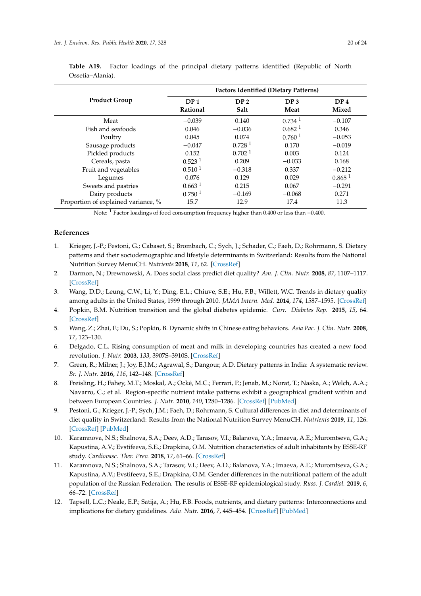|                      | <b>Factors Identified (Dietary Patterns)</b> |                         |                         |                          |  |
|----------------------|----------------------------------------------|-------------------------|-------------------------|--------------------------|--|
| <b>Product Group</b> | DP <sub>1</sub><br>Rational                  | DP <sub>2</sub><br>Salt | DP <sub>3</sub><br>Meat | DP <sub>4</sub><br>Mixed |  |
| Meat                 | $-0.039$                                     | 0.140                   | $0.734$ <sup>1</sup>    | $-0.107$                 |  |
| Fish and seafoods    | 0.046                                        | $-0.036$                | 0.682 <sup>1</sup>      | 0.346                    |  |
| Poultry              | 0.045                                        | 0.074                   | 0.760 <sup>1</sup>      | $-0.053$                 |  |
| Sausage products     | $-0.047$                                     | 0.728 <sup>1</sup>      | 0.170                   | $-0.019$                 |  |
| Pickled products     | 0.152                                        | 0.702 <sup>1</sup>      | 0.003                   | 0.124                    |  |
| Cereals, pasta       | 0.523 <sup>1</sup>                           | 0.209                   | $-0.033$                | 0.168                    |  |
| Fruit and vegetables | 0.510 <sup>1</sup>                           | $-0.318$                | 0.337                   | $-0.212$                 |  |
| Legumes              | 0.076                                        | 0.129                   | 0.029                   | $0.865$ <sup>1</sup>     |  |
| Sweets and pastries  | 0.663 <sup>1</sup>                           | 0.215                   | 0.067                   | $-0.291$                 |  |

<span id="page-19-9"></span>**Table A19.** Factor loadings of the principal dietary patterns identified (Republic of North Ossetia–Alania).

Note: <sup>1</sup> Factor loadings of food consumption frequency higher than 0.400 or less than −0.400.

Proportion of explained variance, % 15.7 12.9 17.4 11.3

Dairy products 0.750<sup>1</sup> −0.169 −0.068 0.271

# **References**

- <span id="page-19-0"></span>1. Krieger, J.-P.; Pestoni, G.; Cabaset, S.; Brombach, C.; Sych, J.; Schader, C.; Faeh, D.; Rohrmann, S. Dietary patterns and their sociodemographic and lifestyle determinants in Switzerland: Results from the National Nutrition Survey MenuCH. *Nutrients* **2018**, *11*, 62. [\[CrossRef\]](http://dx.doi.org/10.3390/nu11010062)
- <span id="page-19-10"></span>2. Darmon, N.; Drewnowski, A. Does social class predict diet quality? *Am. J. Clin. Nutr.* **2008**, *87*, 1107–1117. [\[CrossRef\]](http://dx.doi.org/10.1093/ajcn/87.5.1107)
- <span id="page-19-1"></span>3. Wang, D.D.; Leung, C.W.; Li, Y.; Ding, E.L.; Chiuve, S.E.; Hu, F.B.; Willett, W.C. Trends in dietary quality among adults in the United States, 1999 through 2010. *JAMA Intern. Med.* **2014**, *174*, 1587–1595. [\[CrossRef\]](http://dx.doi.org/10.1001/jamainternmed.2014.3422)
- <span id="page-19-2"></span>4. Popkin, B.M. Nutrition transition and the global diabetes epidemic. *Curr. Diabetes Rep.* **2015**, *15*, 64. [\[CrossRef\]](http://dx.doi.org/10.1007/s11892-015-0631-4)
- 5. Wang, Z.; Zhai, F.; Du, S.; Popkin, B. Dynamic shifts in Chinese eating behaviors. *Asia Pac. J. Clin. Nutr.* **2008**, *17*, 123–130.
- <span id="page-19-3"></span>6. Delgado, C.L. Rising consumption of meat and milk in developing countries has created a new food revolution. *J. Nutr.* **2003**, *133*, 3907S–3910S. [\[CrossRef\]](http://dx.doi.org/10.1093/jn/133.11.3907S)
- <span id="page-19-4"></span>7. Green, R.; Milner, J.; Joy, E.J.M.; Agrawal, S.; Dangour, A.D. Dietary patterns in India: A systematic review. *Br. J. Nutr.* **2016**, *116*, 142–148. [\[CrossRef\]](http://dx.doi.org/10.1017/S0007114516001598)
- 8. Freisling, H.; Fahey, M.T.; Moskal, A.; Ocké, M.C.; Ferrari, P.; Jenab, M.; Norat, T.; Naska, A.; Welch, A.A.; Navarro, C.; et al. Region-specific nutrient intake patterns exhibit a geographical gradient within and between European Countries. *J. Nutr.* **2010**, *140*, 1280–1286. [\[CrossRef\]](http://dx.doi.org/10.3945/jn.110.121152) [\[PubMed\]](http://www.ncbi.nlm.nih.gov/pubmed/20484545)
- <span id="page-19-5"></span>9. Pestoni, G.; Krieger, J.-P.; Sych, J.M.; Faeh, D.; Rohrmann, S. Cultural differences in diet and determinants of diet quality in Switzerland: Results from the National Nutrition Survey MenuCH. *Nutrients* **2019**, *11*, 126. [\[CrossRef\]](http://dx.doi.org/10.3390/nu11010126) [\[PubMed\]](http://www.ncbi.nlm.nih.gov/pubmed/30634520)
- <span id="page-19-6"></span>10. Karamnova, N.S.; Shalnova, S.A.; Deev, A.D.; Tarasov, V.I.; Balanova, Y.A.; Imaeva, A.E.; Muromtseva, G.A.; Kapustina, A.V.; Evstifeeva, S.Е.; Drapkina, О.М. Nutrition characteristics of adult inhabitants by ESSE-RF study. *Cardiovasc. Ther. Prev.* **2018**, *17*, 61–66. [\[CrossRef\]](http://dx.doi.org/10.15829/1728-8800-2018-4-61-66)
- <span id="page-19-7"></span>11. Karamnova, N.S.; Shalnova, S.A.; Tarasov, V.I.; Deev, A.D.; Balanova, Y.A.; Imaeva, A.E.; Muromtseva, G.A.; Kapustina, A.V.; Evstifeeva, S.E.; Drapkina, O.M. Gender differences in the nutritional pattern of the adult population of the Russian Federation. The results of ESSE-RF epidemiological study. *Russ. J. Cardiol.* **2019**, *6*, 66–72. [\[CrossRef\]](http://dx.doi.org/10.15829/1560-4071-2019-6-66-72)
- <span id="page-19-8"></span>12. Tapsell, L.C.; Neale, E.P.; Satija, A.; Hu, F.B. Foods, nutrients, and dietary patterns: Interconnections and implications for dietary guidelines. *Adv. Nutr.* **2016**, *7*, 445–454. [\[CrossRef\]](http://dx.doi.org/10.3945/an.115.011718) [\[PubMed\]](http://www.ncbi.nlm.nih.gov/pubmed/27184272)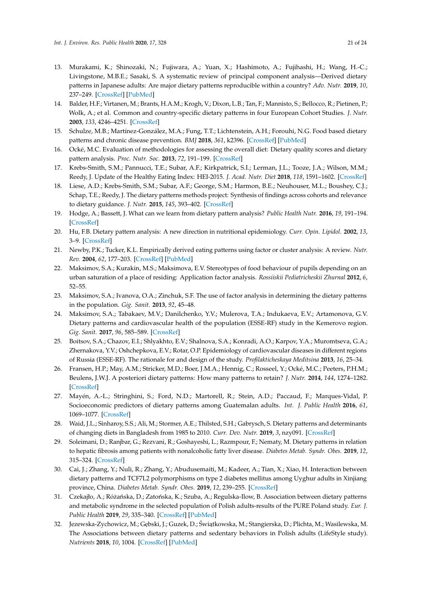- <span id="page-20-0"></span>13. Murakami, K.; Shinozaki, N.; Fujiwara, A.; Yuan, X.; Hashimoto, A.; Fujihashi, H.; Wang, H.-C.; Livingstone, M.B.E.; Sasaki, S. A systematic review of principal component analysis—Derived dietary patterns in Japanese adults: Are major dietary patterns reproducible within a country? *Adv. Nutr.* **2019**, *10*, 237–249. [\[CrossRef\]](http://dx.doi.org/10.1093/advances/nmy079) [\[PubMed\]](http://www.ncbi.nlm.nih.gov/pubmed/30785205)
- <span id="page-20-1"></span>14. Balder, H.F.; Virtanen, M.; Brants, H.A.M.; Krogh, V.; Dixon, L.B.; Tan, F.; Mannisto, S.; Bellocco, R.; Pietinen, P.; Wolk, A.; et al. Common and country-specific dietary patterns in four European Cohort Studies. *J. Nutr.* **2003**, *133*, 4246–4251. [\[CrossRef\]](http://dx.doi.org/10.1093/jn/133.12.4246)
- <span id="page-20-2"></span>15. Schulze, M.B.; Martínez-González, M.A.; Fung, T.T.; Lichtenstein, A.H.; Forouhi, N.G. Food based dietary patterns and chronic disease prevention. *BMJ* **2018**, *361*, k2396. [\[CrossRef\]](http://dx.doi.org/10.1136/bmj.k2396) [\[PubMed\]](http://www.ncbi.nlm.nih.gov/pubmed/29898951)
- <span id="page-20-3"></span>16. Ocké, M.C. Evaluation of methodologies for assessing the overall diet: Dietary quality scores and dietary pattern analysis. *Proc. Nutr. Soc.* **2013**, *72*, 191–199. [\[CrossRef\]](http://dx.doi.org/10.1017/S0029665113000013)
- <span id="page-20-4"></span>17. Krebs-Smith, S.M.; Pannucci, T.E.; Subar, A.F.; Kirkpatrick, S.I.; Lerman, J.L.; Tooze, J.A.; Wilson, M.M.; Reedy, J. Update of the Healthy Eating Index: HEI-2015. *J. Acad. Nutr. Diet* **2018**, *118*, 1591–1602. [\[CrossRef\]](http://dx.doi.org/10.1016/j.jand.2018.05.021)
- <span id="page-20-5"></span>18. Liese, A.D.; Krebs-Smith, S.M.; Subar, A.F.; George, S.M.; Harmon, B.E.; Neuhouser, M.L.; Boushey, C.J.; Schap, T.E.; Reedy, J. The dietary patterns methods project: Synthesis of findings across cohorts and relevance to dietary guidance. *J. Nutr.* **2015**, *145*, 393–402. [\[CrossRef\]](http://dx.doi.org/10.3945/jn.114.205336)
- <span id="page-20-6"></span>19. Hodge, A.; Bassett, J. What can we learn from dietary pattern analysis? *Public Health Nutr.* **2016**, *19*, 191–194. [\[CrossRef\]](http://dx.doi.org/10.1017/S1368980015003730)
- <span id="page-20-7"></span>20. Hu, F.B. Dietary pattern analysis: A new direction in nutritional epidemiology. *Curr. Opin. Lipidol.* **2002**, *13*, 3–9. [\[CrossRef\]](http://dx.doi.org/10.1097/00041433-200202000-00002)
- <span id="page-20-8"></span>21. Newby, P.K.; Tucker, K.L. Empirically derived eating patterns using factor or cluster analysis: A review. *Nutr. Rev.* **2004**, *62*, 177–203. [\[CrossRef\]](http://dx.doi.org/10.1111/j.1753-4887.2004.tb00040.x) [\[PubMed\]](http://www.ncbi.nlm.nih.gov/pubmed/15212319)
- <span id="page-20-9"></span>22. Maksimov, S.A.; Kurakin, M.S.; Maksimova, E.V. Stereotypes of food behaviour of pupils depending on an urban saturation of a place of residing: Application factor analysis. *Rossiiskii Pediatricheskii Zhurnal* **2012**, *6*, 52–55.
- <span id="page-20-19"></span>23. Maksimov, S.A.; Ivanova, O.A.; Zinchuk, S.F. The use of factor analysis in determining the dietary patterns in the population. *Gig. Sanit.* **2013**, *92*, 45–48.
- <span id="page-20-10"></span>24. Maksimov, S.A.; Tabakaev, M.V.; Danilchenko, Y.V.; Mulerova, T.A.; Indukaeva, E.V.; Artamonova, G.V. Dietary patterns and cardiovascular health of the population (ESSE-RF) study in the Kemerovo region. *Gig. Sanit.* **2017**, *96*, 585–589. [\[CrossRef\]](http://dx.doi.org/10.18821/0016-9900-2017-96-6-585-589)
- <span id="page-20-11"></span>25. Boitsov, S.A.; Chazov, E.I.; Shlyakhto, E.V.; Shalnova, S.A.; Konradi, A.O.; Karpov, Y.A.; Muromtseva, G.A.; Zhernakova, Y.V.; Oshchepkova, E.V.; Rotar, O.P. Epidemiology of cardiovascular diseases in different regions of Russia (ESSE-RF). The rationale for and design of the study. *Profilakticheskaya Meditsina* **2013**, *16*, 25–34.
- <span id="page-20-12"></span>26. Fransen, H.P.; May, A.M.; Stricker, M.D.; Boer, J.M.A.; Hennig, C.; Rosseel, Y.; Ocké, M.C.; Peeters, P.H.M.; Beulens, J.W.J. A posteriori dietary patterns: How many patterns to retain? *J. Nutr.* **2014**, *144*, 1274–1282. [\[CrossRef\]](http://dx.doi.org/10.3945/jn.113.188680)
- <span id="page-20-13"></span>27. Mayén, A.-L.; Stringhini, S.; Ford, N.D.; Martorell, R.; Stein, A.D.; Paccaud, F.; Marques-Vidal, P. Socioeconomic predictors of dietary patterns among Guatemalan adults. *Int. J. Public Health* **2016**, *61*, 1069–1077. [\[CrossRef\]](http://dx.doi.org/10.1007/s00038-016-0863-3)
- <span id="page-20-14"></span>28. Waid, J.L.; Sinharoy, S.S.; Ali, M.; Stormer, A.E.; Thilsted, S.H.; Gabrysch, S. Dietary patterns and determinants of changing diets in Bangladesh from 1985 to 2010. *Curr. Dev. Nutr.* **2019**, *3*, nzy091. [\[CrossRef\]](http://dx.doi.org/10.1093/cdn/nzy091)
- <span id="page-20-15"></span>29. Soleimani, D.; Ranjbar, G.; Rezvani, R.; Goshayeshi, L.; Razmpour, F.; Nematy, M. Dietary patterns in relation to hepatic fibrosis among patients with nonalcoholic fatty liver disease. *Diabetes Metab. Syndr. Obes.* **2019**, *12*, 315–324. [\[CrossRef\]](http://dx.doi.org/10.2147/DMSO.S198744)
- <span id="page-20-17"></span>30. Cai, J.; Zhang, Y.; Nuli, R.; Zhang, Y.; Abudusemaiti, M.; Kadeer, A.; Tian, X.; Xiao, H. Interaction between dietary patterns and TCF7L2 polymorphisms on type 2 diabetes mellitus among Uyghur adults in Xinjiang province, China. *Diabetes Metab. Syndr. Obes.* **2019**, *12*, 239–255. [\[CrossRef\]](http://dx.doi.org/10.2147/DMSO.S191759)
- <span id="page-20-18"></span>31. Czekajło, A.; Różańska, D.; Zatońska, K.; Szuba, A.; Regulska-Ilow, B. Association between dietary patterns and metabolic syndrome in the selected population of Polish adults-results of the PURE Poland study. *Eur. J. Public Health* **2019**, *29*, 335–340. [\[CrossRef\]](http://dx.doi.org/10.1093/eurpub/cky207) [\[PubMed\]](http://www.ncbi.nlm.nih.gov/pubmed/30285088)
- <span id="page-20-16"></span>32. Jezewska-Zychowicz, M.; Gębski, J.; Guzek, D.; Świątkowska, M.; Stangierska, D.; Plichta, M.; Wasilewska, M. The Associations between dietary patterns and sedentary behaviors in Polish adults (LifeStyle study). *Nutrients* **2018**, *10*, 1004. [\[CrossRef\]](http://dx.doi.org/10.3390/nu10081004) [\[PubMed\]](http://www.ncbi.nlm.nih.gov/pubmed/30071656)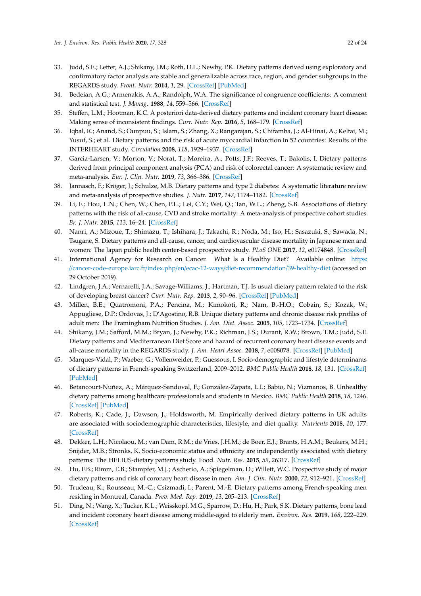- <span id="page-21-0"></span>33. Judd, S.E.; Letter, A.J.; Shikany, J.M.; Roth, D.L.; Newby, P.K. Dietary patterns derived using exploratory and confirmatory factor analysis are stable and generalizable across race, region, and gender subgroups in the REGARDS study. *Front. Nutr.* **2014**, *1*, 29. [\[CrossRef\]](http://dx.doi.org/10.3389/fnut.2014.00029) [\[PubMed\]](http://www.ncbi.nlm.nih.gov/pubmed/25988129)
- <span id="page-21-1"></span>34. Bedeian, A.G.; Armenakis, A.A.; Randolph, W.A. The significance of congruence coefficients: A comment and statistical test. *J. Manag.* **1988**, *14*, 559–566. [\[CrossRef\]](http://dx.doi.org/10.1177/014920638801400406)
- <span id="page-21-2"></span>35. Steffen, L.M.; Hootman, K.C. A posteriori data-derived dietary patterns and incident coronary heart disease: Making sense of inconsistent findings. *Curr. Nutr. Rep.* **2016**, *5*, 168–179. [\[CrossRef\]](http://dx.doi.org/10.1007/s13668-016-0176-4)
- <span id="page-21-3"></span>36. Iqbal, R.; Anand, S.; Ounpuu, S.; Islam, S.; Zhang, X.; Rangarajan, S.; Chifamba, J.; Al-Hinai, A.; Keltai, M.; Yusuf, S.; et al. Dietary patterns and the risk of acute myocardial infarction in 52 countries: Results of the INTERHEART study. *Circulation* **2008**, *118*, 1929–1937. [\[CrossRef\]](http://dx.doi.org/10.1161/CIRCULATIONAHA.107.738716)
- <span id="page-21-4"></span>37. Garcia-Larsen, V.; Morton, V.; Norat, T.; Moreira, A.; Potts, J.F.; Reeves, T.; Bakolis, I. Dietary patterns derived from principal component analysis (PCA) and risk of colorectal cancer: A systematic review and meta-analysis. *Eur. J. Clin. Nutr.* **2019**, *73*, 366–386. [\[CrossRef\]](http://dx.doi.org/10.1038/s41430-018-0234-7)
- <span id="page-21-5"></span>38. Jannasch, F.; Kröger, J.; Schulze, M.B. Dietary patterns and type 2 diabetes: A systematic literature review and meta-analysis of prospective studies. *J. Nutr.* **2017**, *147*, 1174–1182. [\[CrossRef\]](http://dx.doi.org/10.3945/jn.116.242552)
- <span id="page-21-6"></span>39. Li, F.; Hou, L.N.; Chen, W.; Chen, P.L.; Lei, C.Y.; Wei, Q.; Tan, W.L.; Zheng, S.B. Associations of dietary patterns with the risk of all-cause, CVD and stroke mortality: A meta-analysis of prospective cohort studies. *Br. J. Nutr.* **2015**, *113*, 16–24. [\[CrossRef\]](http://dx.doi.org/10.1017/S000711451400289X)
- <span id="page-21-7"></span>40. Nanri, A.; Mizoue, T.; Shimazu, T.; Ishihara, J.; Takachi, R.; Noda, M.; Iso, H.; Sasazuki, S.; Sawada, N.; Tsugane, S. Dietary patterns and all-cause, cancer, and cardiovascular disease mortality in Japanese men and women: The Japan public health center-based prospective study. *PLoS ONE* **2017**, *12*, e0174848. [\[CrossRef\]](http://dx.doi.org/10.1371/journal.pone.0174848)
- <span id="page-21-8"></span>41. International Agency for Research on Cancer. What Is a Healthy Diet? Available online: [https:](https://cancer-code-europe.iarc.fr/index.php/en/ecac-12-ways/diet-recommendation/39-healthy-diet) //[cancer-code-europe.iarc.fr](https://cancer-code-europe.iarc.fr/index.php/en/ecac-12-ways/diet-recommendation/39-healthy-diet)/index.php/en/ecac-12-ways/diet-recommendation/39-healthy-diet (accessed on 29 October 2019).
- <span id="page-21-9"></span>42. Lindgren, J.A.; Vernarelli, J.A.; Savage-Williams, J.; Hartman, T.J. Is usual dietary pattern related to the risk of developing breast cancer? *Curr. Nutr. Rep.* **2013**, *2*, 90–96. [\[CrossRef\]](http://dx.doi.org/10.1007/s13668-013-0039-1) [\[PubMed\]](http://www.ncbi.nlm.nih.gov/pubmed/30214832)
- 43. Millen, B.E.; Quatromoni, P.A.; Pencina, M.; Kimokoti, R.; Nam, B.-H.O.; Cobain, S.; Kozak, W.; Appugliese, D.P.; Ordovas, J.; D'Agostino, R.B. Unique dietary patterns and chronic disease risk profiles of adult men: The Framingham Nutrition Studies. *J. Am. Diet. Assoc.* **2005**, *105*, 1723–1734. [\[CrossRef\]](http://dx.doi.org/10.1016/j.jada.2005.08.007)
- <span id="page-21-14"></span>44. Shikany, J.M.; Safford, M.M.; Bryan, J.; Newby, P.K.; Richman, J.S.; Durant, R.W.; Brown, T.M.; Judd, S.E. Dietary patterns and Mediterranean Diet Score and hazard of recurrent coronary heart disease events and all-cause mortality in the REGARDS study. *J. Am. Heart Assoc.* **2018**, *7*, e008078. [\[CrossRef\]](http://dx.doi.org/10.1161/JAHA.117.008078) [\[PubMed\]](http://www.ncbi.nlm.nih.gov/pubmed/30005552)
- <span id="page-21-10"></span>45. Marques-Vidal, P.; Waeber, G.; Vollenweider, P.; Guessous, I. Socio-demographic and lifestyle determinants of dietary patterns in French-speaking Switzerland, 2009–2012. *BMC Public Health* **2018**, *18*, 131. [\[CrossRef\]](http://dx.doi.org/10.1186/s12889-018-5045-1) [\[PubMed\]](http://www.ncbi.nlm.nih.gov/pubmed/29329572)
- <span id="page-21-11"></span>46. Betancourt-Nuñez, A.; Márquez-Sandoval, F.; González-Zapata, L.I.; Babio, N.; Vizmanos, B. Unhealthy dietary patterns among healthcare professionals and students in Mexico. *BMC Public Health* **2018**, *18*, 1246. [\[CrossRef\]](http://dx.doi.org/10.1186/s12889-018-6153-7) [\[PubMed\]](http://www.ncbi.nlm.nih.gov/pubmed/30413146)
- <span id="page-21-12"></span>47. Roberts, K.; Cade, J.; Dawson, J.; Holdsworth, M. Empirically derived dietary patterns in UK adults are associated with sociodemographic characteristics, lifestyle, and diet quality. *Nutrients* **2018**, *10*, 177. [\[CrossRef\]](http://dx.doi.org/10.3390/nu10020177)
- 48. Dekker, L.H.; Nicolaou, M.; van Dam, R.M.; de Vries, J.H.M.; de Boer, E.J.; Brants, H.A.M.; Beukers, M.H.; Snijder, M.B.; Stronks, K. Socio-economic status and ethnicity are independently associated with dietary patterns: The HELIUS-dietary patterns study. Food. *Nutr. Res.* **2015**, *59*, 26317. [\[CrossRef\]](http://dx.doi.org/10.3402/fnr.v59.26317)
- 49. Hu, F.B.; Rimm, E.B.; Stampfer, M.J.; Ascherio, A.; Spiegelman, D.; Willett, W.C. Prospective study of major dietary patterns and risk of coronary heart disease in men. *Am. J. Clin. Nutr.* **2000**, *72*, 912–921. [\[CrossRef\]](http://dx.doi.org/10.1093/ajcn/72.4.912)
- <span id="page-21-13"></span>50. Trudeau, K.; Rousseau, M.-C.; Csizmadi, I.; Parent, M.-É. Dietary patterns among French-speaking men residing in Montreal, Canada. *Prev. Med. Rep.* **2019**, *13*, 205–213. [\[CrossRef\]](http://dx.doi.org/10.1016/j.pmedr.2018.12.017)
- 51. Ding, N.; Wang, X.; Tucker, K.L.; Weisskopf, M.G.; Sparrow, D.; Hu, H.; Park, S.K. Dietary patterns, bone lead and incident coronary heart disease among middle-aged to elderly men. *Environ. Res.* **2019**, *168*, 222–229. [\[CrossRef\]](http://dx.doi.org/10.1016/j.envres.2018.09.035)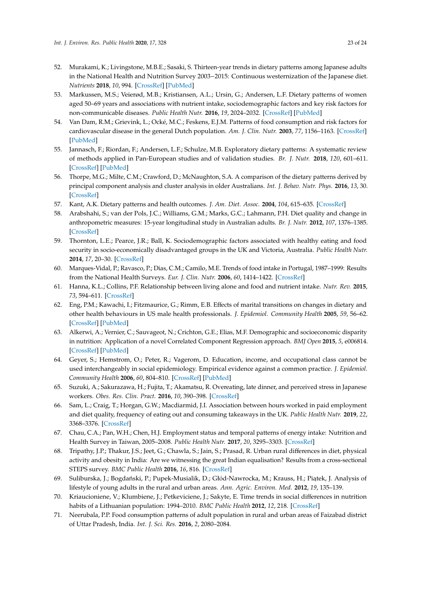- 52. Murakami, K.; Livingstone, M.B.E.; Sasaki, S. Thirteen-year trends in dietary patterns among Japanese adults in the National Health and Nutrition Survey 2003−2015: Continuous westernization of the Japanese diet. *Nutrients* **2018**, *10*, 994. [\[CrossRef\]](http://dx.doi.org/10.3390/nu10080994) [\[PubMed\]](http://www.ncbi.nlm.nih.gov/pubmed/30061492)
- 53. Markussen, M.S.; Veierød, M.B.; Kristiansen, A.L.; Ursin, G.; Andersen, L.F. Dietary patterns of women aged 50–69 years and associations with nutrient intake, sociodemographic factors and key risk factors for non-communicable diseases. *Public Health Nutr.* **2016**, *19*, 2024–2032. [\[CrossRef\]](http://dx.doi.org/10.1017/S1368980015003547) [\[PubMed\]](http://www.ncbi.nlm.nih.gov/pubmed/26780977)
- <span id="page-22-0"></span>54. Van Dam, R.M.; Grievink, L.; Ocké, M.C.; Feskens, E.J.M. Patterns of food consumption and risk factors for cardiovascular disease in the general Dutch population. *Am. J. Clin. Nutr.* **2003**, *77*, 1156–1163. [\[CrossRef\]](http://dx.doi.org/10.1093/ajcn/77.5.1156) [\[PubMed\]](http://www.ncbi.nlm.nih.gov/pubmed/12716666)
- <span id="page-22-1"></span>55. Jannasch, F.; Riordan, F.; Andersen, L.F.; Schulze, M.B. Exploratory dietary patterns: A systematic review of methods applied in Pan-European studies and of validation studies. *Br. J. Nutr.* **2018**, *120*, 601–611. [\[CrossRef\]](http://dx.doi.org/10.1017/S0007114518001800) [\[PubMed\]](http://www.ncbi.nlm.nih.gov/pubmed/30064527)
- <span id="page-22-2"></span>56. Thorpe, M.G.; Milte, C.M.; Crawford, D.; McNaughton, S.A. A comparison of the dietary patterns derived by principal component analysis and cluster analysis in older Australians. *Int. J. Behav. Nutr. Phys.* **2016**, *13*, 30. [\[CrossRef\]](http://dx.doi.org/10.1186/s12966-016-0353-2)
- <span id="page-22-3"></span>57. Kant, A.K. Dietary patterns and health outcomes. *J. Am. Diet. Assoc.* **2004**, *104*, 615–635. [\[CrossRef\]](http://dx.doi.org/10.1016/j.jada.2004.01.010)
- 58. Arabshahi, S.; van der Pols, J.C.; Williams, G.M.; Marks, G.C.; Lahmann, P.H. Diet quality and change in anthropometric measures: 15-year longitudinal study in Australian adults. *Br. J. Nutr.* **2012**, *107*, 1376–1385. [\[CrossRef\]](http://dx.doi.org/10.1017/S0007114511004351)
- <span id="page-22-4"></span>59. Thornton, L.E.; Pearce, J.R.; Ball, K. Sociodemographic factors associated with healthy eating and food security in socio-economically disadvantaged groups in the UK and Victoria, Australia. *Public Health Nutr.* **2014**, *17*, 20–30. [\[CrossRef\]](http://dx.doi.org/10.1017/S1368980013000347)
- <span id="page-22-5"></span>60. Marques-Vidal, P.; Ravasco, P.; Dias, C.M.; Camilo, M.E. Trends of food intake in Portugal, 1987–1999: Results from the National Health Surveys. *Eur. J. Clin. Nutr.* **2006**, *60*, 1414–1422. [\[CrossRef\]](http://dx.doi.org/10.1038/sj.ejcn.1602472)
- <span id="page-22-6"></span>61. Hanna, K.L.; Collins, P.F. Relationship between living alone and food and nutrient intake. *Nutr. Rev.* **2015**, *73*, 594–611. [\[CrossRef\]](http://dx.doi.org/10.1093/nutrit/nuv024)
- <span id="page-22-7"></span>62. Eng, P.M.; Kawachi, I.; Fitzmaurice, G.; Rimm, E.B. Effects of marital transitions on changes in dietary and other health behaviours in US male health professionals. *J. Epidemiol. Community Health* **2005**, *59*, 56–62. [\[CrossRef\]](http://dx.doi.org/10.1136/jech.2004.020073) [\[PubMed\]](http://www.ncbi.nlm.nih.gov/pubmed/15598728)
- <span id="page-22-8"></span>63. Alkerwi, A.; Vernier, C.; Sauvageot, N.; Crichton, G.E.; Elias, M.F. Demographic and socioeconomic disparity in nutrition: Application of a novel Correlated Component Regression approach. *BMJ Open* **2015**, *5*, e006814. [\[CrossRef\]](http://dx.doi.org/10.1136/bmjopen-2014-006814) [\[PubMed\]](http://www.ncbi.nlm.nih.gov/pubmed/25967988)
- <span id="page-22-9"></span>64. Geyer, S.; Hemstrom, O.; Peter, R.; Vagerom, D. Education, income, and occupational class cannot be used interchangeably in social epidemiology. Empirical evidence against a common practice. *J. Epidemiol. Community Health* **2006**, *60*, 804–810. [\[CrossRef\]](http://dx.doi.org/10.1136/jech.2005.041319) [\[PubMed\]](http://www.ncbi.nlm.nih.gov/pubmed/16905727)
- <span id="page-22-10"></span>65. Suzuki, A.; Sakurazawa, H.; Fujita, T.; Akamatsu, R. Overeating, late dinner, and perceived stress in Japanese workers. *Obes. Res. Clin. Pract.* **2016**, *10*, 390–398. [\[CrossRef\]](http://dx.doi.org/10.1016/j.orcp.2015.08.005)
- <span id="page-22-11"></span>66. Sam, L.; Craig, T.; Horgan, G.W.; Macdiarmid, J.I. Association between hours worked in paid employment and diet quality, frequency of eating out and consuming takeaways in the UK. *Public Health Nutr.* **2019**, *22*, 3368–3376. [\[CrossRef\]](http://dx.doi.org/10.1017/S1368980019002222)
- <span id="page-22-12"></span>67. Chau, C.A.; Pan, W.H.; Chen, H.J. Employment status and temporal patterns of energy intake: Nutrition and Health Survey in Taiwan, 2005–2008. *Public Health Nutr.* **2017**, *20*, 3295–3303. [\[CrossRef\]](http://dx.doi.org/10.1017/S1368980017002476)
- <span id="page-22-13"></span>68. Tripathy, J.P.; Thakur, J.S.; Jeet, G.; Chawla, S.; Jain, S.; Prasad, R. Urban rural differences in diet, physical activity and obesity in India: Are we witnessing the great Indian equalisation? Results from a cross-sectional STEPS survey. *BMC Public Health* **2016**, *16*, 816. [\[CrossRef\]](http://dx.doi.org/10.1186/s12889-016-3489-8)
- <span id="page-22-14"></span>69. Suliburska, J.; Bogdański, P.; Pupek-Musialik, D.; Głód-Nawrocka, M.; Krauss, H.; Piątek, J. Analysis of lifestyle of young adults in the rural and urban areas. *Ann. Agric. Environ. Med.* **2012**, *19*, 135–139.
- 70. Kriaucioniene, V.; Klumbiene, J.; Petkeviciene, J.; Sakyte, E. Time trends in social differences in nutrition habits of a Lithuanian population: 1994–2010. *BMC Public Health* **2012**, *12*, 218. [\[CrossRef\]](http://dx.doi.org/10.1186/1471-2458-12-218)
- <span id="page-22-15"></span>71. Neerubala, P.P. Food consumption patterns of adult population in rural and urban areas of Faizabad district of Uttar Pradesh, India. *Int. J. Sci. Res.* **2016**, *2*, 2080–2084.